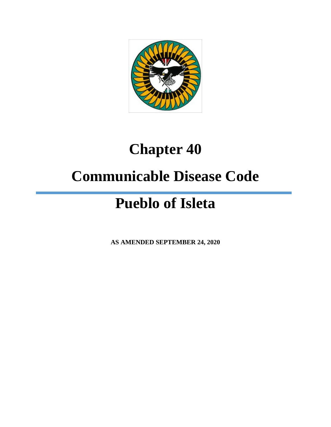

## **Chapter 40**

### **Communicable Disease Code**

# **Pueblo of Isleta**

**AS AMENDED SEPTEMBER 24, 2020**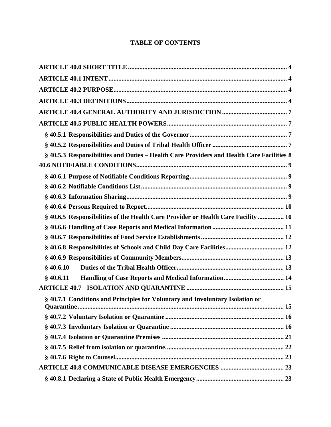#### **TABLE OF CONTENTS**

| § 40.5.3 Responsibilities and Duties - Health Care Providers and Health Care Facilities 8 |
|-------------------------------------------------------------------------------------------|
|                                                                                           |
|                                                                                           |
|                                                                                           |
|                                                                                           |
|                                                                                           |
| §40.6.5 Responsibilities of the Health Care Provider or Health Care Facility  10          |
|                                                                                           |
|                                                                                           |
| §40.6.8 Responsibilities of Schools and Child Day Care Facilities 12                      |
|                                                                                           |
| \$40.6.10                                                                                 |
| $§$ 40.6.11                                                                               |
|                                                                                           |
| §40.7.1 Conditions and Principles for Voluntary and Involuntary Isolation or              |
|                                                                                           |
|                                                                                           |
|                                                                                           |
|                                                                                           |
|                                                                                           |
|                                                                                           |
|                                                                                           |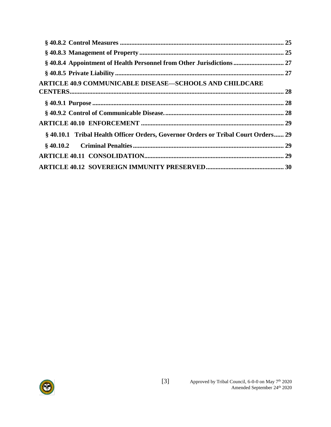| §40.8.4 Appointment of Health Personnel from Other Jurisdictions  27              |  |
|-----------------------------------------------------------------------------------|--|
|                                                                                   |  |
| <b>ARTICLE 40.9 COMMUNICABLE DISEASE-SCHOOLS AND CHILDCARE</b>                    |  |
|                                                                                   |  |
|                                                                                   |  |
|                                                                                   |  |
| § 40.10.1 Tribal Health Officer Orders, Governor Orders or Tribal Court Orders 29 |  |
|                                                                                   |  |
|                                                                                   |  |
|                                                                                   |  |

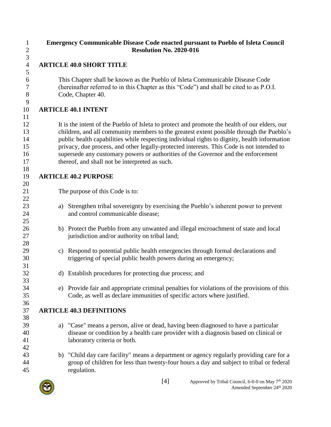<span id="page-3-2"></span><span id="page-3-1"></span><span id="page-3-0"></span>

| $\mathbf{1}$<br>$\mathbf{2}$ |    | <b>Emergency Communicable Disease Code enacted pursuant to Pueblo of Isleta Council</b><br><b>Resolution No. 2020-016</b>                         |
|------------------------------|----|---------------------------------------------------------------------------------------------------------------------------------------------------|
| $\mathfrak{Z}$               |    |                                                                                                                                                   |
| $\overline{4}$               |    | <b>ARTICLE 40.0 SHORT TITLE</b>                                                                                                                   |
| $\mathfrak{S}$               |    |                                                                                                                                                   |
| 6                            |    | This Chapter shall be known as the Pueblo of Isleta Communicable Disease Code                                                                     |
| 7                            |    | (hereinafter referred to in this Chapter as this "Code") and shall be cited to as P.O.I.                                                          |
| 8                            |    | Code, Chapter 40.                                                                                                                                 |
| 9<br>10                      |    | <b>ARTICLE 40.1 INTENT</b>                                                                                                                        |
| 11                           |    |                                                                                                                                                   |
| 12                           |    | It is the intent of the Pueblo of Isleta to protect and promote the health of our elders, our                                                     |
| 13                           |    | children, and all community members to the greatest extent possible through the Pueblo's                                                          |
| 14                           |    | public health capabilities while respecting individual rights to dignity, health information                                                      |
| 15                           |    | privacy, due process, and other legally-protected interests. This Code is not intended to                                                         |
| 16                           |    | supersede any customary powers or authorities of the Governor and the enforcement                                                                 |
| 17                           |    | thereof, and shall not be interpreted as such.                                                                                                    |
| 18                           |    |                                                                                                                                                   |
| 19                           |    | <b>ARTICLE 40.2 PURPOSE</b>                                                                                                                       |
| 20                           |    |                                                                                                                                                   |
| 21                           |    | The purpose of this Code is to:                                                                                                                   |
| 22                           |    |                                                                                                                                                   |
| 23                           | a) | Strengthen tribal sovereignty by exercising the Pueblo's inherent power to prevent                                                                |
| 24                           |    | and control communicable disease;                                                                                                                 |
| 25                           |    |                                                                                                                                                   |
| 26                           |    | b) Protect the Pueblo from any unwanted and illegal encroachment of state and local                                                               |
| 27                           |    | jurisdiction and/or authority on tribal land;                                                                                                     |
| 28                           |    |                                                                                                                                                   |
| 29                           | c) | Respond to potential public health emergencies through formal declarations and<br>triggering of special public health powers during an emergency; |
| 30<br>31                     |    |                                                                                                                                                   |
| 32                           |    | d) Establish procedures for protecting due process; and                                                                                           |
| 33                           |    |                                                                                                                                                   |
| 34                           |    | e) Provide fair and appropriate criminal penalties for violations of the provisions of this                                                       |
| 35                           |    | Code, as well as declare immunities of specific actors where justified.                                                                           |
| 36                           |    |                                                                                                                                                   |
| 37                           |    | <b>ARTICLE 40.3 DEFINITIONS</b>                                                                                                                   |
| 38                           |    |                                                                                                                                                   |
| 39                           | a) | "Case" means a person, alive or dead, having been diagnosed to have a particular                                                                  |
| 40                           |    | disease or condition by a health care provider with a diagnosis based on clinical or                                                              |
| 41                           |    | laboratory criteria or both.                                                                                                                      |
| 42                           |    |                                                                                                                                                   |
| 43                           | b) | "Child day care facility" means a department or agency regularly providing care for a                                                             |
| 44                           |    | group of children for less than twenty-four hours a day and subject to tribal or federal                                                          |
| 45                           |    | regulation.                                                                                                                                       |
|                              |    |                                                                                                                                                   |

<span id="page-3-3"></span>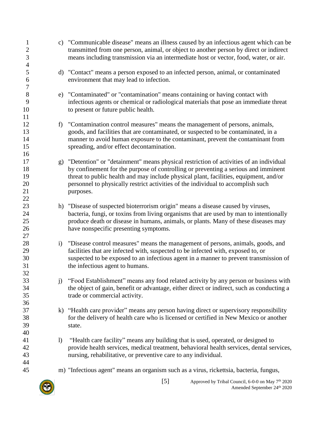| $\mathbf{1}$<br>$\mathbf{2}$<br>3 |                  | c) "Communicable disease" means an illness caused by an infectious agent which can be<br>transmitted from one person, animal, or object to another person by direct or indirect<br>means including transmission via an intermediate host or vector, food, water, or air.                                                                                              |
|-----------------------------------|------------------|-----------------------------------------------------------------------------------------------------------------------------------------------------------------------------------------------------------------------------------------------------------------------------------------------------------------------------------------------------------------------|
| $\overline{4}$<br>5<br>6<br>7     |                  | d) "Contact" means a person exposed to an infected person, animal, or contaminated<br>environment that may lead to infection.                                                                                                                                                                                                                                         |
| 8<br>9<br>10<br>11                | e)               | "Contaminated" or "contamination" means containing or having contact with<br>infectious agents or chemical or radiological materials that pose an immediate threat<br>to present or future public health.                                                                                                                                                             |
| 12<br>13<br>14<br>15<br>16        | f                | "Contamination control measures" means the management of persons, animals,<br>goods, and facilities that are contaminated, or suspected to be contaminated, in a<br>manner to avoid human exposure to the contaminant, prevent the contaminant from<br>spreading, and/or effect decontamination.                                                                      |
| 17<br>18<br>19<br>20<br>21<br>22  | g)               | "Detention" or "detainment" means physical restriction of activities of an individual<br>by confinement for the purpose of controlling or preventing a serious and imminent<br>threat to public health and may include physical plant, facilities, equipment, and/or<br>personnel to physically restrict activities of the individual to accomplish such<br>purposes. |
| 23<br>24<br>25<br>26<br>27        |                  | h) "Disease of suspected bioterrorism origin" means a disease caused by viruses,<br>bacteria, fungi, or toxins from living organisms that are used by man to intentionally<br>produce death or disease in humans, animals, or plants. Many of these diseases may<br>have nonspecific presenting symptoms.                                                             |
| 28<br>29<br>30<br>31<br>32        | $\mathbf{i}$     | "Disease control measures" means the management of persons, animals, goods, and<br>facilities that are infected with, suspected to be infected with, exposed to, or<br>suspected to be exposed to an infectious agent in a manner to prevent transmission of<br>the infectious agent to humans.                                                                       |
| 33<br>34<br>35<br>36              | $j$ )            | "Food Establishment" means any food related activity by any person or business with<br>the object of gain, benefit or advantage, either direct or indirect, such as conducting a<br>trade or commercial activity.                                                                                                                                                     |
| 37<br>38<br>39<br>40              |                  | k) "Health care provider" means any person having direct or supervisory responsibility<br>for the delivery of health care who is licensed or certified in New Mexico or another<br>state.                                                                                                                                                                             |
| 41<br>42<br>43<br>44              | $\left( \right)$ | "Health care facility" means any building that is used, operated, or designed to<br>provide health services, medical treatment, behavioral health services, dental services,<br>nursing, rehabilitative, or preventive care to any individual.                                                                                                                        |
| 45                                |                  | m) "Infectious agent" means an organism such as a virus, rickettsia, bacteria, fungus,                                                                                                                                                                                                                                                                                |
|                                   |                  | [5]<br>Approved by Tribal Council, 6-0-0 on May 7 <sup>th</sup> 2020<br>Amended September 24th 2020                                                                                                                                                                                                                                                                   |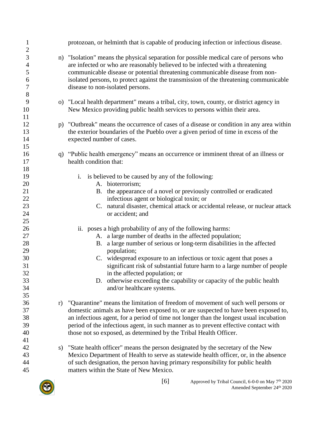| $\mathbf{1}$                                                                                                 | protozoan, or helminth that is capable of producing infection or infectious disease.                                                                                                                                                                                                                                                                                                                                                                                                                                                                                                                                                                                                                                                                                                                               |
|--------------------------------------------------------------------------------------------------------------|--------------------------------------------------------------------------------------------------------------------------------------------------------------------------------------------------------------------------------------------------------------------------------------------------------------------------------------------------------------------------------------------------------------------------------------------------------------------------------------------------------------------------------------------------------------------------------------------------------------------------------------------------------------------------------------------------------------------------------------------------------------------------------------------------------------------|
| $\mathbf{2}$<br>3<br>$\overline{4}$<br>5<br>6<br>7<br>8                                                      | n) "Isolation" means the physical separation for possible medical care of persons who<br>are infected or who are reasonably believed to be infected with a threatening<br>communicable disease or potential threatening communicable disease from non-<br>isolated persons, to protect against the transmission of the threatening communicable<br>disease to non-isolated persons.                                                                                                                                                                                                                                                                                                                                                                                                                                |
| 9<br>10                                                                                                      | o) "Local health department" means a tribal, city, town, county, or district agency in<br>New Mexico providing public health services to persons within their area.                                                                                                                                                                                                                                                                                                                                                                                                                                                                                                                                                                                                                                                |
| 11<br>12<br>13<br>14<br>15                                                                                   | p) "Outbreak" means the occurrence of cases of a disease or condition in any area within<br>the exterior boundaries of the Pueblo over a given period of time in excess of the<br>expected number of cases.                                                                                                                                                                                                                                                                                                                                                                                                                                                                                                                                                                                                        |
| 16<br>17                                                                                                     | q) "Public health emergency" means an occurrence or imminent threat of an illness or<br>health condition that:                                                                                                                                                                                                                                                                                                                                                                                                                                                                                                                                                                                                                                                                                                     |
| 18<br>19<br>20<br>21<br>$22\,$<br>23<br>24<br>25<br>26<br>27<br>28<br>29<br>30<br>31<br>32<br>33<br>34<br>35 | i. is believed to be caused by any of the following:<br>A. bioterrorism;<br>B. the appearance of a novel or previously controlled or eradicated<br>infectious agent or biological toxin; or<br>C. natural disaster, chemical attack or accidental release, or nuclear attack<br>or accident; and<br>ii. poses a high probability of any of the following harms:<br>A. a large number of deaths in the affected population;<br>a large number of serious or long-term disabilities in the affected<br>B.<br>population;<br>C. widespread exposure to an infectious or toxic agent that poses a<br>significant risk of substantial future harm to a large number of people<br>in the affected population; or<br>D. otherwise exceeding the capability or capacity of the public health<br>and/or healthcare systems. |
| 36<br>r)<br>37<br>38<br>39<br>40<br>41                                                                       | "Quarantine" means the limitation of freedom of movement of such well persons or<br>domestic animals as have been exposed to, or are suspected to have been exposed to,<br>an infectious agent, for a period of time not longer than the longest usual incubation<br>period of the infectious agent, in such manner as to prevent effective contact with<br>those not so exposed, as determined by the Tribal Health Officer.                                                                                                                                                                                                                                                                                                                                                                                      |
| 42<br>s)<br>43<br>44<br>45                                                                                   | "State health officer" means the person designated by the secretary of the New<br>Mexico Department of Health to serve as statewide health officer, or, in the absence<br>of such designation, the person having primary responsibility for public health<br>matters within the State of New Mexico.                                                                                                                                                                                                                                                                                                                                                                                                                                                                                                               |

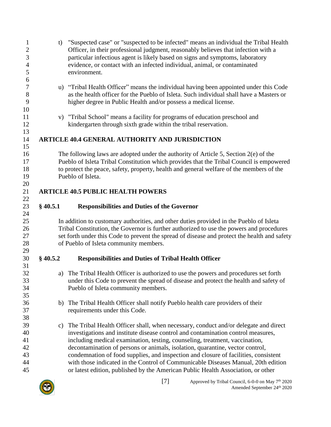<span id="page-6-2"></span><span id="page-6-1"></span><span id="page-6-0"></span>

| $\mathbf{1}$<br>$\overline{c}$<br>3<br>$\overline{4}$<br>5<br>6 | t)         | "Suspected case" or "suspected to be infected" means an individual the Tribal Health<br>Officer, in their professional judgment, reasonably believes that infection with a<br>particular infectious agent is likely based on signs and symptoms, laboratory<br>evidence, or contact with an infected individual, animal, or contaminated<br>environment.                                                                                                                                                                                                                                                |
|-----------------------------------------------------------------|------------|---------------------------------------------------------------------------------------------------------------------------------------------------------------------------------------------------------------------------------------------------------------------------------------------------------------------------------------------------------------------------------------------------------------------------------------------------------------------------------------------------------------------------------------------------------------------------------------------------------|
| $\overline{7}$<br>$8\,$<br>9<br>10                              |            | u) "Tribal Health Officer" means the individual having been appointed under this Code<br>as the health officer for the Pueblo of Isleta. Such individual shall have a Masters or<br>higher degree in Public Health and/or possess a medical license.                                                                                                                                                                                                                                                                                                                                                    |
| 11<br>12<br>13                                                  |            | v) "Tribal School" means a facility for programs of education preschool and<br>kindergarten through sixth grade within the tribal reservation.                                                                                                                                                                                                                                                                                                                                                                                                                                                          |
| 14<br>15                                                        |            | <b>ARTICLE 40.4 GENERAL AUTHORITY AND JURISDICTION</b>                                                                                                                                                                                                                                                                                                                                                                                                                                                                                                                                                  |
| 16<br>17<br>18<br>19<br>20                                      |            | The following laws are adopted under the authority of Article 5, Section $2(e)$ of the<br>Pueblo of Isleta Tribal Constitution which provides that the Tribal Council is empowered<br>to protect the peace, safety, property, health and general welfare of the members of the<br>Pueblo of Isleta.                                                                                                                                                                                                                                                                                                     |
| 21                                                              |            | <b>ARTICLE 40.5 PUBLIC HEALTH POWERS</b>                                                                                                                                                                                                                                                                                                                                                                                                                                                                                                                                                                |
| 22<br>23<br>24                                                  | $§$ 40.5.1 | <b>Responsibilities and Duties of the Governor</b>                                                                                                                                                                                                                                                                                                                                                                                                                                                                                                                                                      |
| 25<br>26<br>27<br>28                                            |            | In addition to customary authorities, and other duties provided in the Pueblo of Isleta<br>Tribal Constitution, the Governor is further authorized to use the powers and procedures<br>set forth under this Code to prevent the spread of disease and protect the health and safety<br>of Pueblo of Isleta community members.                                                                                                                                                                                                                                                                           |
| 29<br>30                                                        | $§$ 40.5.2 | <b>Responsibilities and Duties of Tribal Health Officer</b>                                                                                                                                                                                                                                                                                                                                                                                                                                                                                                                                             |
| 31<br>32<br>33<br>34<br>35                                      | a)         | The Tribal Health Officer is authorized to use the powers and procedures set forth<br>under this Code to prevent the spread of disease and protect the health and safety of<br>Pueblo of Isleta community members.                                                                                                                                                                                                                                                                                                                                                                                      |
| 36<br>37<br>38                                                  | b)         | The Tribal Health Officer shall notify Pueblo health care providers of their<br>requirements under this Code.                                                                                                                                                                                                                                                                                                                                                                                                                                                                                           |
| 39<br>40<br>41<br>42<br>43<br>44<br>45                          | c)         | The Tribal Health Officer shall, when necessary, conduct and/or delegate and direct<br>investigations and institute disease control and contamination control measures,<br>including medical examination, testing, counseling, treatment, vaccination,<br>decontamination of persons or animals, isolation, quarantine, vector control,<br>condemnation of food supplies, and inspection and closure of facilities, consistent<br>with those indicated in the Control of Communicable Diseases Manual, 20th edition<br>or latest edition, published by the American Public Health Association, or other |

<span id="page-6-3"></span>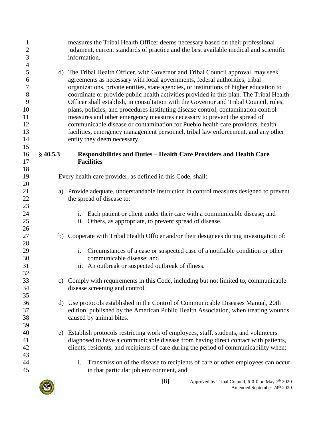<span id="page-7-0"></span>

| $\mathbf{1}$<br>$\overline{c}$<br>$\overline{3}$                                                         |            | measures the Tribal Health Officer deems necessary based on their professional<br>judgment, current standards of practice and the best available medical and scientific<br>information.                                                                                                                                                                                                                                                                                                                                                                                                                                                                                                                                                                                                                                 |
|----------------------------------------------------------------------------------------------------------|------------|-------------------------------------------------------------------------------------------------------------------------------------------------------------------------------------------------------------------------------------------------------------------------------------------------------------------------------------------------------------------------------------------------------------------------------------------------------------------------------------------------------------------------------------------------------------------------------------------------------------------------------------------------------------------------------------------------------------------------------------------------------------------------------------------------------------------------|
| $\overline{\mathcal{A}}$<br>5<br>6<br>$\boldsymbol{7}$<br>$8\,$<br>9<br>10<br>11<br>12<br>13<br>14<br>15 |            | d) The Tribal Health Officer, with Governor and Tribal Council approval, may seek<br>agreements as necessary with local governments, federal authorities, tribal<br>organizations, private entities, state agencies, or institutions of higher education to<br>coordinate or provide public health activities provided in this plan. The Tribal Health<br>Officer shall establish, in consultation with the Governor and Tribal Council, rules,<br>plans, policies, and procedures instituting disease control, contamination control<br>measures and other emergency measures necessary to prevent the spread of<br>communicable disease or contamination for Pueblo health care providers, health<br>facilities, emergency management personnel, tribal law enforcement, and any other<br>entity they deem necessary. |
| 16<br>17                                                                                                 | $§$ 40.5.3 | Responsibilities and Duties - Health Care Providers and Health Care<br><b>Facilities</b>                                                                                                                                                                                                                                                                                                                                                                                                                                                                                                                                                                                                                                                                                                                                |
| 18<br>19<br>20                                                                                           |            | Every health care provider, as defined in this Code, shall:                                                                                                                                                                                                                                                                                                                                                                                                                                                                                                                                                                                                                                                                                                                                                             |
| 21<br>22<br>23                                                                                           | a)         | Provide adequate, understandable instruction in control measures designed to prevent<br>the spread of disease to:                                                                                                                                                                                                                                                                                                                                                                                                                                                                                                                                                                                                                                                                                                       |
| 24<br>25<br>26                                                                                           |            | Each patient or client under their care with a communicable disease; and<br>i.<br>Others, as appropriate, to prevent spread of disease.<br>ii.                                                                                                                                                                                                                                                                                                                                                                                                                                                                                                                                                                                                                                                                          |
| 27<br>28                                                                                                 |            | b) Cooperate with Tribal Health Officer and/or their designees during investigation of:                                                                                                                                                                                                                                                                                                                                                                                                                                                                                                                                                                                                                                                                                                                                 |
| 29<br>30<br>31<br>32                                                                                     |            | Circumstances of a case or suspected case of a notifiable condition or other<br>$i$ .<br>communicable disease; and<br>ii. An outbreak or suspected outbreak of illness.                                                                                                                                                                                                                                                                                                                                                                                                                                                                                                                                                                                                                                                 |
| 33<br>34<br>35                                                                                           |            | c) Comply with requirements in this Code, including but not limited to, communicable<br>disease screening and control.                                                                                                                                                                                                                                                                                                                                                                                                                                                                                                                                                                                                                                                                                                  |
| 36<br>37<br>38<br>39                                                                                     |            | d) Use protocols established in the Control of Communicable Diseases Manual, 20th<br>edition, published by the American Public Health Association, when treating wounds<br>caused by animal bites.                                                                                                                                                                                                                                                                                                                                                                                                                                                                                                                                                                                                                      |
| 40<br>41<br>42<br>43                                                                                     | e)         | Establish protocols restricting work of employees, staff, students, and volunteers<br>diagnosed to have a communicable disease from having direct contact with patients,<br>clients, residents, and recipients of care during the period of communicability when:                                                                                                                                                                                                                                                                                                                                                                                                                                                                                                                                                       |
| 44<br>45                                                                                                 |            | Transmission of the disease to recipients of care or other employees can occur<br>$\mathbf{i}$ .<br>in that particular job environment, and                                                                                                                                                                                                                                                                                                                                                                                                                                                                                                                                                                                                                                                                             |
|                                                                                                          |            |                                                                                                                                                                                                                                                                                                                                                                                                                                                                                                                                                                                                                                                                                                                                                                                                                         |

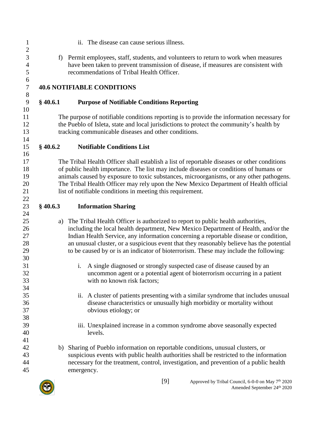<span id="page-8-3"></span><span id="page-8-2"></span><span id="page-8-1"></span><span id="page-8-0"></span> ii. The disease can cause serious illness. f) Permit employees, staff, students, and volunteers to return to work when measures have been taken to prevent transmission of disease, if measures are consistent with recommendations of Tribal Health Officer. **40.6 NOTIFIABLE CONDITIONS § 40.6.1 Purpose of Notifiable Conditions Reporting** The purpose of notifiable conditions reporting is to provide the information necessary for the Pueblo of Isleta, state and local jurisdictions to protect the community's health by tracking communicable diseases and other conditions. **§ 40.6.2 Notifiable Conditions List** The Tribal Health Officer shall establish a list of reportable diseases or other conditions of public health importance. The list may include diseases or conditions of humans or animals caused by exposure to toxic substances, microorganisms, or any other pathogens. The Tribal Health Officer may rely upon the New Mexico Department of Health official list of notifiable conditions in meeting this requirement. **§ 40.6.3 Information Sharing** a) The Tribal Health Officer is authorized to report to public health authorities, including the local health department, New Mexico Department of Health, and/or the Indian Health Service, any information concerning a reportable disease or condition, an unusual cluster, or a suspicious event that they reasonably believe has the potential to be caused by or is an indicator of bioterrorism. These may include the following: i. A single diagnosed or strongly suspected case of disease caused by an uncommon agent or a potential agent of bioterrorism occurring in a patient with no known risk factors; ii. A cluster of patients presenting with a similar syndrome that includes unusual disease characteristics or unusually high morbidity or mortality without obvious etiology; or iii. Unexplained increase in a common syndrome above seasonally expected levels. b) Sharing of Pueblo information on reportable conditions, unusual clusters, or suspicious events with public health authorities shall be restricted to the information necessary for the treatment, control, investigation, and prevention of a public health emergency.

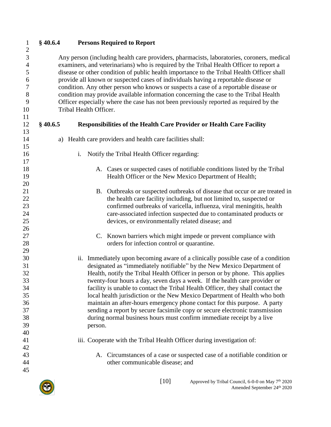<span id="page-9-1"></span><span id="page-9-0"></span>

| Notify the Tribal Health Officer regarding:<br>$\mathbf{i}$ .                |                                                                                                                                                                                                                                                                                                                                                                                                                                                                                                                                                                                                                                                                                                                                                                                                                                                                                                                                                                                                                                                                                                                                                                                                                                                                                                                                                                                                                                                                                                                                                                                                                                                                                                                                                                                                                                                                                                                                                                                                                               |
|------------------------------------------------------------------------------|-------------------------------------------------------------------------------------------------------------------------------------------------------------------------------------------------------------------------------------------------------------------------------------------------------------------------------------------------------------------------------------------------------------------------------------------------------------------------------------------------------------------------------------------------------------------------------------------------------------------------------------------------------------------------------------------------------------------------------------------------------------------------------------------------------------------------------------------------------------------------------------------------------------------------------------------------------------------------------------------------------------------------------------------------------------------------------------------------------------------------------------------------------------------------------------------------------------------------------------------------------------------------------------------------------------------------------------------------------------------------------------------------------------------------------------------------------------------------------------------------------------------------------------------------------------------------------------------------------------------------------------------------------------------------------------------------------------------------------------------------------------------------------------------------------------------------------------------------------------------------------------------------------------------------------------------------------------------------------------------------------------------------------|
|                                                                              |                                                                                                                                                                                                                                                                                                                                                                                                                                                                                                                                                                                                                                                                                                                                                                                                                                                                                                                                                                                                                                                                                                                                                                                                                                                                                                                                                                                                                                                                                                                                                                                                                                                                                                                                                                                                                                                                                                                                                                                                                               |
|                                                                              |                                                                                                                                                                                                                                                                                                                                                                                                                                                                                                                                                                                                                                                                                                                                                                                                                                                                                                                                                                                                                                                                                                                                                                                                                                                                                                                                                                                                                                                                                                                                                                                                                                                                                                                                                                                                                                                                                                                                                                                                                               |
|                                                                              |                                                                                                                                                                                                                                                                                                                                                                                                                                                                                                                                                                                                                                                                                                                                                                                                                                                                                                                                                                                                                                                                                                                                                                                                                                                                                                                                                                                                                                                                                                                                                                                                                                                                                                                                                                                                                                                                                                                                                                                                                               |
|                                                                              |                                                                                                                                                                                                                                                                                                                                                                                                                                                                                                                                                                                                                                                                                                                                                                                                                                                                                                                                                                                                                                                                                                                                                                                                                                                                                                                                                                                                                                                                                                                                                                                                                                                                                                                                                                                                                                                                                                                                                                                                                               |
| the health care facility including, but not limited to, suspected or         |                                                                                                                                                                                                                                                                                                                                                                                                                                                                                                                                                                                                                                                                                                                                                                                                                                                                                                                                                                                                                                                                                                                                                                                                                                                                                                                                                                                                                                                                                                                                                                                                                                                                                                                                                                                                                                                                                                                                                                                                                               |
| confirmed outbreaks of varicella, influenza, viral meningitis, health        |                                                                                                                                                                                                                                                                                                                                                                                                                                                                                                                                                                                                                                                                                                                                                                                                                                                                                                                                                                                                                                                                                                                                                                                                                                                                                                                                                                                                                                                                                                                                                                                                                                                                                                                                                                                                                                                                                                                                                                                                                               |
|                                                                              |                                                                                                                                                                                                                                                                                                                                                                                                                                                                                                                                                                                                                                                                                                                                                                                                                                                                                                                                                                                                                                                                                                                                                                                                                                                                                                                                                                                                                                                                                                                                                                                                                                                                                                                                                                                                                                                                                                                                                                                                                               |
|                                                                              |                                                                                                                                                                                                                                                                                                                                                                                                                                                                                                                                                                                                                                                                                                                                                                                                                                                                                                                                                                                                                                                                                                                                                                                                                                                                                                                                                                                                                                                                                                                                                                                                                                                                                                                                                                                                                                                                                                                                                                                                                               |
|                                                                              |                                                                                                                                                                                                                                                                                                                                                                                                                                                                                                                                                                                                                                                                                                                                                                                                                                                                                                                                                                                                                                                                                                                                                                                                                                                                                                                                                                                                                                                                                                                                                                                                                                                                                                                                                                                                                                                                                                                                                                                                                               |
|                                                                              |                                                                                                                                                                                                                                                                                                                                                                                                                                                                                                                                                                                                                                                                                                                                                                                                                                                                                                                                                                                                                                                                                                                                                                                                                                                                                                                                                                                                                                                                                                                                                                                                                                                                                                                                                                                                                                                                                                                                                                                                                               |
|                                                                              |                                                                                                                                                                                                                                                                                                                                                                                                                                                                                                                                                                                                                                                                                                                                                                                                                                                                                                                                                                                                                                                                                                                                                                                                                                                                                                                                                                                                                                                                                                                                                                                                                                                                                                                                                                                                                                                                                                                                                                                                                               |
|                                                                              |                                                                                                                                                                                                                                                                                                                                                                                                                                                                                                                                                                                                                                                                                                                                                                                                                                                                                                                                                                                                                                                                                                                                                                                                                                                                                                                                                                                                                                                                                                                                                                                                                                                                                                                                                                                                                                                                                                                                                                                                                               |
|                                                                              |                                                                                                                                                                                                                                                                                                                                                                                                                                                                                                                                                                                                                                                                                                                                                                                                                                                                                                                                                                                                                                                                                                                                                                                                                                                                                                                                                                                                                                                                                                                                                                                                                                                                                                                                                                                                                                                                                                                                                                                                                               |
| Health, notify the Tribal Health Officer in person or by phone. This applies |                                                                                                                                                                                                                                                                                                                                                                                                                                                                                                                                                                                                                                                                                                                                                                                                                                                                                                                                                                                                                                                                                                                                                                                                                                                                                                                                                                                                                                                                                                                                                                                                                                                                                                                                                                                                                                                                                                                                                                                                                               |
| twenty-four hours a day, seven days a week. If the health care provider or   |                                                                                                                                                                                                                                                                                                                                                                                                                                                                                                                                                                                                                                                                                                                                                                                                                                                                                                                                                                                                                                                                                                                                                                                                                                                                                                                                                                                                                                                                                                                                                                                                                                                                                                                                                                                                                                                                                                                                                                                                                               |
|                                                                              |                                                                                                                                                                                                                                                                                                                                                                                                                                                                                                                                                                                                                                                                                                                                                                                                                                                                                                                                                                                                                                                                                                                                                                                                                                                                                                                                                                                                                                                                                                                                                                                                                                                                                                                                                                                                                                                                                                                                                                                                                               |
|                                                                              |                                                                                                                                                                                                                                                                                                                                                                                                                                                                                                                                                                                                                                                                                                                                                                                                                                                                                                                                                                                                                                                                                                                                                                                                                                                                                                                                                                                                                                                                                                                                                                                                                                                                                                                                                                                                                                                                                                                                                                                                                               |
|                                                                              |                                                                                                                                                                                                                                                                                                                                                                                                                                                                                                                                                                                                                                                                                                                                                                                                                                                                                                                                                                                                                                                                                                                                                                                                                                                                                                                                                                                                                                                                                                                                                                                                                                                                                                                                                                                                                                                                                                                                                                                                                               |
|                                                                              |                                                                                                                                                                                                                                                                                                                                                                                                                                                                                                                                                                                                                                                                                                                                                                                                                                                                                                                                                                                                                                                                                                                                                                                                                                                                                                                                                                                                                                                                                                                                                                                                                                                                                                                                                                                                                                                                                                                                                                                                                               |
|                                                                              |                                                                                                                                                                                                                                                                                                                                                                                                                                                                                                                                                                                                                                                                                                                                                                                                                                                                                                                                                                                                                                                                                                                                                                                                                                                                                                                                                                                                                                                                                                                                                                                                                                                                                                                                                                                                                                                                                                                                                                                                                               |
|                                                                              |                                                                                                                                                                                                                                                                                                                                                                                                                                                                                                                                                                                                                                                                                                                                                                                                                                                                                                                                                                                                                                                                                                                                                                                                                                                                                                                                                                                                                                                                                                                                                                                                                                                                                                                                                                                                                                                                                                                                                                                                                               |
|                                                                              |                                                                                                                                                                                                                                                                                                                                                                                                                                                                                                                                                                                                                                                                                                                                                                                                                                                                                                                                                                                                                                                                                                                                                                                                                                                                                                                                                                                                                                                                                                                                                                                                                                                                                                                                                                                                                                                                                                                                                                                                                               |
|                                                                              |                                                                                                                                                                                                                                                                                                                                                                                                                                                                                                                                                                                                                                                                                                                                                                                                                                                                                                                                                                                                                                                                                                                                                                                                                                                                                                                                                                                                                                                                                                                                                                                                                                                                                                                                                                                                                                                                                                                                                                                                                               |
|                                                                              |                                                                                                                                                                                                                                                                                                                                                                                                                                                                                                                                                                                                                                                                                                                                                                                                                                                                                                                                                                                                                                                                                                                                                                                                                                                                                                                                                                                                                                                                                                                                                                                                                                                                                                                                                                                                                                                                                                                                                                                                                               |
| other communicable disease; and                                              |                                                                                                                                                                                                                                                                                                                                                                                                                                                                                                                                                                                                                                                                                                                                                                                                                                                                                                                                                                                                                                                                                                                                                                                                                                                                                                                                                                                                                                                                                                                                                                                                                                                                                                                                                                                                                                                                                                                                                                                                                               |
|                                                                              |                                                                                                                                                                                                                                                                                                                                                                                                                                                                                                                                                                                                                                                                                                                                                                                                                                                                                                                                                                                                                                                                                                                                                                                                                                                                                                                                                                                                                                                                                                                                                                                                                                                                                                                                                                                                                                                                                                                                                                                                                               |
| $§$ 40.6.5                                                                   | Any person (including health care providers, pharmacists, laboratories, coroners, medical<br>examiners, and veterinarians) who is required by the Tribal Health Officer to report a<br>disease or other condition of public health importance to the Tribal Health Officer shall<br>provide all known or suspected cases of individuals having a reportable disease or<br>condition. Any other person who knows or suspects a case of a reportable disease or<br>condition may provide available information concerning the case to the Tribal Health<br>Officer especially where the case has not been previously reported as required by the<br>Tribal Health Officer.<br><b>Responsibilities of the Health Care Provider or Health Care Facility</b><br>a) Health care providers and health care facilities shall:<br>A. Cases or suspected cases of notifiable conditions listed by the Tribal<br>Health Officer or the New Mexico Department of Health;<br>B. Outbreaks or suspected outbreaks of disease that occur or are treated in<br>care-associated infection suspected due to contaminated products or<br>devices, or environmentally related disease; and<br>C. Known barriers which might impede or prevent compliance with<br>orders for infection control or quarantine.<br>ii. Immediately upon becoming aware of a clinically possible case of a condition<br>designated as "immediately notifiable" by the New Mexico Department of<br>facility is unable to contact the Tribal Health Officer, they shall contact the<br>local health jurisdiction or the New Mexico Department of Health who both<br>maintain an after-hours emergency phone contact for this purpose. A party<br>sending a report by secure facsimile copy or secure electronic transmission<br>during normal business hours must confirm immediate receipt by a live<br>person.<br>iii. Cooperate with the Tribal Health Officer during investigation of:<br>A. Circumstances of a case or suspected case of a notifiable condition or |

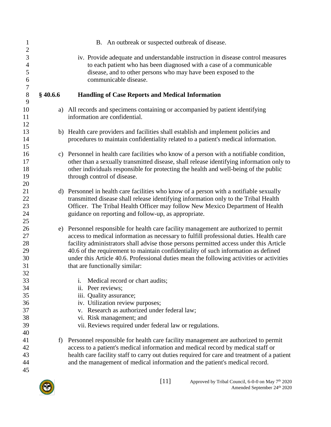<span id="page-10-0"></span>

| $\mathbf{1}$<br>$\overline{c}$                                   |          | B. An outbreak or suspected outbreak of disease.                                                                                                                                                                                                                                                                                                                                                                                                                                              |
|------------------------------------------------------------------|----------|-----------------------------------------------------------------------------------------------------------------------------------------------------------------------------------------------------------------------------------------------------------------------------------------------------------------------------------------------------------------------------------------------------------------------------------------------------------------------------------------------|
| 3<br>$\overline{4}$<br>5<br>$\boldsymbol{6}$<br>$\boldsymbol{7}$ |          | iv. Provide adequate and understandable instruction in disease control measures<br>to each patient who has been diagnosed with a case of a communicable<br>disease, and to other persons who may have been exposed to the<br>communicable disease.                                                                                                                                                                                                                                            |
| $\,8\,$<br>9                                                     | \$40.6.6 | <b>Handling of Case Reports and Medical Information</b>                                                                                                                                                                                                                                                                                                                                                                                                                                       |
| 10<br>11<br>12                                                   |          | a) All records and specimens containing or accompanied by patient identifying<br>information are confidential.                                                                                                                                                                                                                                                                                                                                                                                |
| 13<br>14<br>15                                                   |          | b) Health care providers and facilities shall establish and implement policies and<br>procedures to maintain confidentiality related to a patient's medical information.                                                                                                                                                                                                                                                                                                                      |
| 16<br>17<br>18<br>19<br>20                                       |          | c) Personnel in health care facilities who know of a person with a notifiable condition,<br>other than a sexually transmitted disease, shall release identifying information only to<br>other individuals responsible for protecting the health and well-being of the public<br>through control of disease.                                                                                                                                                                                   |
| 21<br>22<br>23<br>24<br>25                                       |          | d) Personnel in health care facilities who know of a person with a notifiable sexually<br>transmitted disease shall release identifying information only to the Tribal Health<br>Officer. The Tribal Health Officer may follow New Mexico Department of Health<br>guidance on reporting and follow-up, as appropriate.                                                                                                                                                                        |
| 26<br>27<br>28<br>29<br>30<br>31<br>32                           |          | e) Personnel responsible for health care facility management are authorized to permit<br>access to medical information as necessary to fulfill professional duties. Health care<br>facility administrators shall advise those persons permitted access under this Article<br>40.6 of the requirement to maintain confidentiality of such information as defined<br>under this Article 40.6. Professional duties mean the following activities or activities<br>that are functionally similar: |
| 33<br>34<br>35<br>36<br>37<br>38<br>39<br>40                     |          | Medical record or chart audits;<br>i.<br>ii. Peer reviews;<br>iii. Quality assurance;<br>iv. Utilization review purposes;<br>v. Research as authorized under federal law;<br>vi. Risk management; and<br>vii. Reviews required under federal law or regulations.                                                                                                                                                                                                                              |
| 41<br>42<br>43<br>44<br>45                                       | f        | Personnel responsible for health care facility management are authorized to permit<br>access to a patient's medical information and medical record by medical staff or<br>health care facility staff to carry out duties required for care and treatment of a patient<br>and the management of medical information and the patient's medical record.                                                                                                                                          |

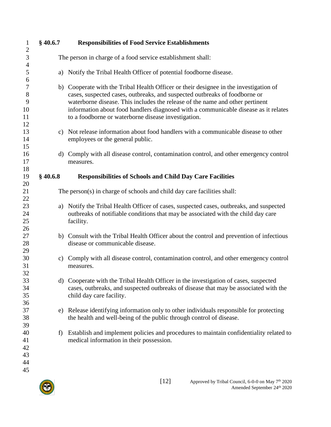<span id="page-11-1"></span><span id="page-11-0"></span>

| $\mathbf{1}$                           | $§$ 40.6.7   | <b>Responsibilities of Food Service Establishments</b>                                                                                                                                                                                                                                                                                                                                             |
|----------------------------------------|--------------|----------------------------------------------------------------------------------------------------------------------------------------------------------------------------------------------------------------------------------------------------------------------------------------------------------------------------------------------------------------------------------------------------|
| $\overline{2}$<br>3                    |              | The person in charge of a food service establishment shall:                                                                                                                                                                                                                                                                                                                                        |
| $\overline{4}$                         |              |                                                                                                                                                                                                                                                                                                                                                                                                    |
| 5<br>6                                 | a)           | Notify the Tribal Health Officer of potential foodborne disease.                                                                                                                                                                                                                                                                                                                                   |
| $\tau$<br>$8\,$<br>9<br>10<br>11<br>12 |              | b) Cooperate with the Tribal Health Officer or their designee in the investigation of<br>cases, suspected cases, outbreaks, and suspected outbreaks of foodborne or<br>waterborne disease. This includes the release of the name and other pertinent<br>information about food handlers diagnosed with a communicable disease as it relates<br>to a foodborne or waterborne disease investigation. |
| 13<br>14<br>15                         |              | c) Not release information about food handlers with a communicable disease to other<br>employees or the general public.                                                                                                                                                                                                                                                                            |
| 16<br>17<br>18                         | $\mathbf{d}$ | Comply with all disease control, contamination control, and other emergency control<br>measures.                                                                                                                                                                                                                                                                                                   |
| 19                                     | $§$ 40.6.8   | <b>Responsibilities of Schools and Child Day Care Facilities</b>                                                                                                                                                                                                                                                                                                                                   |
| 20                                     |              |                                                                                                                                                                                                                                                                                                                                                                                                    |
| 21<br>22                               |              | The person(s) in charge of schools and child day care facilities shall:                                                                                                                                                                                                                                                                                                                            |
| 23<br>24<br>25<br>26                   | a)           | Notify the Tribal Health Officer of cases, suspected cases, outbreaks, and suspected<br>outbreaks of notifiable conditions that may be associated with the child day care<br>facility.                                                                                                                                                                                                             |
| 27<br>28<br>29                         |              | b) Consult with the Tribal Health Officer about the control and prevention of infectious<br>disease or communicable disease.                                                                                                                                                                                                                                                                       |
| 30<br>31<br>32                         | c)           | Comply with all disease control, contamination control, and other emergency control<br>measures.                                                                                                                                                                                                                                                                                                   |
| 33<br>34<br>35<br>36                   |              | d) Cooperate with the Tribal Health Officer in the investigation of cases, suspected<br>cases, outbreaks, and suspected outbreaks of disease that may be associated with the<br>child day care facility.                                                                                                                                                                                           |
| 37<br>38<br>39                         | e)           | Release identifying information only to other individuals responsible for protecting<br>the health and well-being of the public through control of disease.                                                                                                                                                                                                                                        |
| 40<br>41<br>42<br>43<br>44<br>45       | f)           | Establish and implement policies and procedures to maintain confidentiality related to<br>medical information in their possession.                                                                                                                                                                                                                                                                 |

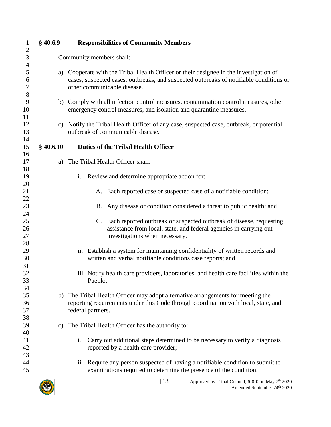<span id="page-12-1"></span><span id="page-12-0"></span>

| $\mathbf{1}$                  | $§$ 40.6.9    | <b>Responsibilities of Community Members</b>                                                                                                                                                                |
|-------------------------------|---------------|-------------------------------------------------------------------------------------------------------------------------------------------------------------------------------------------------------------|
| $\overline{2}$<br>3           |               | Community members shall:                                                                                                                                                                                    |
| $\overline{4}$<br>5<br>6<br>7 | a)            | Cooperate with the Tribal Health Officer or their designee in the investigation of<br>cases, suspected cases, outbreaks, and suspected outbreaks of notifiable conditions or<br>other communicable disease. |
| 8<br>9<br>10<br>11            |               | b) Comply with all infection control measures, contamination control measures, other<br>emergency control measures, and isolation and quarantine measures.                                                  |
| 12<br>13                      |               | c) Notify the Tribal Health Officer of any case, suspected case, outbreak, or potential<br>outbreak of communicable disease.                                                                                |
| 14<br>15                      | $§$ 40.6.10   | <b>Duties of the Tribal Health Officer</b>                                                                                                                                                                  |
| 16<br>17                      | a)            | The Tribal Health Officer shall:                                                                                                                                                                            |
| 18<br>19                      |               | Review and determine appropriate action for:<br>i.                                                                                                                                                          |
| 20<br>21                      |               | A. Each reported case or suspected case of a notifiable condition;                                                                                                                                          |
| 22<br>23                      |               | B. Any disease or condition considered a threat to public health; and                                                                                                                                       |
| 24<br>25<br>26<br>27          |               | C. Each reported outbreak or suspected outbreak of disease, requesting<br>assistance from local, state, and federal agencies in carrying out<br>investigations when necessary.                              |
| 28<br>29<br>30                |               | ii. Establish a system for maintaining confidentiality of written records and<br>written and verbal notifiable conditions case reports; and                                                                 |
| 31<br>32<br>33                |               | iii. Notify health care providers, laboratories, and health care facilities within the<br>Pueblo.                                                                                                           |
| 34<br>35<br>36<br>37          | b)            | The Tribal Health Officer may adopt alternative arrangements for meeting the<br>reporting requirements under this Code through coordination with local, state, and<br>federal partners.                     |
| 38<br>39                      | $\mathbf{c})$ | The Tribal Health Officer has the authority to:                                                                                                                                                             |
| 40<br>41<br>42                |               | Carry out additional steps determined to be necessary to verify a diagnosis<br>i.<br>reported by a health care provider;                                                                                    |
| 43<br>44<br>45                |               | Require any person suspected of having a notifiable condition to submit to<br>$\overline{11}$ .<br>examinations required to determine the presence of the condition;                                        |
|                               |               | F121                                                                                                                                                                                                        |

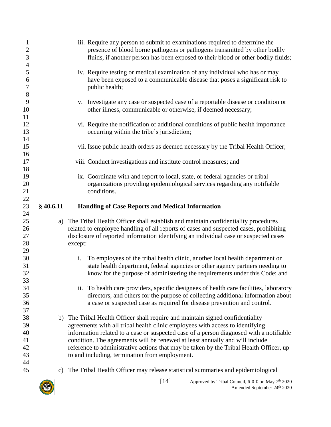<span id="page-13-0"></span>

| $\overline{4}$<br>5<br>iv. Require testing or medical examination of any individual who has or may<br>have been exposed to a communicable disease that poses a significant risk to<br>6<br>7<br>public health;<br>8<br>9<br>v. Investigate any case or suspected case of a reportable disease or condition or<br>other illness, communicable or otherwise, if deemed necessary;<br>10<br>11                                                                                                                                |  |
|----------------------------------------------------------------------------------------------------------------------------------------------------------------------------------------------------------------------------------------------------------------------------------------------------------------------------------------------------------------------------------------------------------------------------------------------------------------------------------------------------------------------------|--|
|                                                                                                                                                                                                                                                                                                                                                                                                                                                                                                                            |  |
|                                                                                                                                                                                                                                                                                                                                                                                                                                                                                                                            |  |
| vi. Require the notification of additional conditions of public health importance<br>12<br>13<br>occurring within the tribe's jurisdiction;                                                                                                                                                                                                                                                                                                                                                                                |  |
| 14<br>15<br>vii. Issue public health orders as deemed necessary by the Tribal Health Officer;<br>16                                                                                                                                                                                                                                                                                                                                                                                                                        |  |
| 17<br>viii. Conduct investigations and institute control measures; and<br>18                                                                                                                                                                                                                                                                                                                                                                                                                                               |  |
| 19<br>ix. Coordinate with and report to local, state, or federal agencies or tribal<br>20<br>organizations providing epidemiological services regarding any notifiable<br>21<br>conditions.                                                                                                                                                                                                                                                                                                                                |  |
| 22<br>23<br>$§$ 40.6.11<br><b>Handling of Case Reports and Medical Information</b><br>24                                                                                                                                                                                                                                                                                                                                                                                                                                   |  |
| 25<br>The Tribal Health Officer shall establish and maintain confidentiality procedures<br>a)<br>related to employee handling of all reports of cases and suspected cases, prohibiting<br>26<br>27<br>disclosure of reported information identifying an individual case or suspected cases<br>28<br>except:<br>29                                                                                                                                                                                                          |  |
| 30<br>To employees of the tribal health clinic, another local health department or<br>i.<br>state health department, federal agencies or other agency partners needing to<br>31<br>32<br>know for the purpose of administering the requirements under this Code; and                                                                                                                                                                                                                                                       |  |
| 33<br>34<br>ii. To health care providers, specific designees of health care facilities, laboratory<br>35<br>directors, and others for the purpose of collecting additional information about<br>36<br>a case or suspected case as required for disease prevention and control.<br>37                                                                                                                                                                                                                                       |  |
| 38<br>b) The Tribal Health Officer shall require and maintain signed confidentiality<br>agreements with all tribal health clinic employees with access to identifying<br>39<br>information related to a case or suspected case of a person diagnosed with a notifiable<br>40<br>condition. The agreements will be renewed at least annually and will include<br>41<br>reference to administrative actions that may be taken by the Tribal Health Officer, up<br>42<br>43<br>to and including, termination from employment. |  |
| 44<br>45<br>The Tribal Health Officer may release statistical summaries and epidemiological<br>C)                                                                                                                                                                                                                                                                                                                                                                                                                          |  |

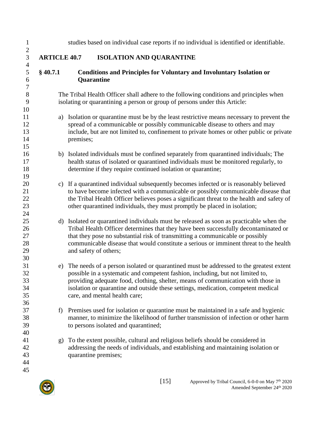<span id="page-14-1"></span><span id="page-14-0"></span>

| studies based on individual case reports if no individual is identified or identifiable.                                                                                                                                                                                                                                                                                           |
|------------------------------------------------------------------------------------------------------------------------------------------------------------------------------------------------------------------------------------------------------------------------------------------------------------------------------------------------------------------------------------|
| <b>ISOLATION AND QUARANTINE</b><br><b>ARTICLE 40.7</b>                                                                                                                                                                                                                                                                                                                             |
| <b>Conditions and Principles for Voluntary and Involuntary Isolation or</b><br>Quarantine                                                                                                                                                                                                                                                                                          |
| The Tribal Health Officer shall adhere to the following conditions and principles when<br>isolating or quarantining a person or group of persons under this Article:                                                                                                                                                                                                               |
| Isolation or quarantine must be by the least restrictive means necessary to prevent the<br>spread of a communicable or possibly communicable disease to others and may<br>include, but are not limited to, confinement to private homes or other public or private<br>premises;                                                                                                    |
| b) Isolated individuals must be confined separately from quarantined individuals; The<br>health status of isolated or quarantined individuals must be monitored regularly, to<br>determine if they require continued isolation or quarantine;                                                                                                                                      |
| c) If a quarantined individual subsequently becomes infected or is reasonably believed<br>to have become infected with a communicable or possibly communicable disease that<br>the Tribal Health Officer believes poses a significant threat to the health and safety of<br>other quarantined individuals, they must promptly be placed in isolation;                              |
| d) Isolated or quarantined individuals must be released as soon as practicable when the<br>Tribal Health Officer determines that they have been successfully decontaminated or<br>that they pose no substantial risk of transmitting a communicable or possibly<br>communicable disease that would constitute a serious or imminent threat to the health<br>and safety of others;  |
| The needs of a person isolated or quarantined must be addressed to the greatest extent<br>possible in a systematic and competent fashion, including, but not limited to,<br>providing adequate food, clothing, shelter, means of communication with those in<br>isolation or quarantine and outside these settings, medication, competent medical<br>care, and mental health care; |
| Premises used for isolation or quarantine must be maintained in a safe and hygienic<br>manner, to minimize the likelihood of further transmission of infection or other harm<br>to persons isolated and quarantined;                                                                                                                                                               |
| To the extent possible, cultural and religious beliefs should be considered in<br>addressing the needs of individuals, and establishing and maintaining isolation or<br>quarantine premises;                                                                                                                                                                                       |
|                                                                                                                                                                                                                                                                                                                                                                                    |

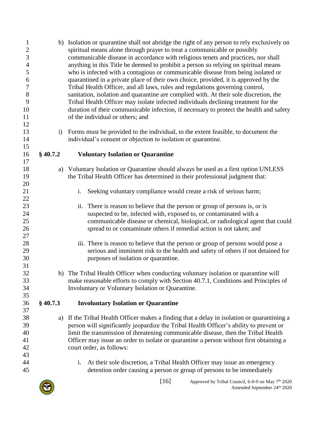<span id="page-15-0"></span>

| $\mathbf{1}$<br>$\overline{c}$<br>$\mathfrak{Z}$<br>$\overline{4}$<br>5<br>6<br>$\boldsymbol{7}$<br>$8\,$<br>9<br>10<br>11<br>12<br>13 | $\mathbf{i}$ | h) Isolation or quarantine shall not abridge the right of any person to rely exclusively on<br>spiritual means alone through prayer to treat a communicable or possibly<br>communicable disease in accordance with religious tenets and practices, nor shall<br>anything in this Title be deemed to prohibit a person so relying on spiritual means<br>who is infected with a contagious or communicable disease from being isolated or<br>quarantined in a private place of their own choice, provided, it is approved by the<br>Tribal Health Officer, and all laws, rules and regulations governing control,<br>sanitation, isolation and quarantine are complied with. At their sole discretion, the<br>Tribal Health Officer may isolate infected individuals declining treatment for the<br>duration of their communicable infection, if necessary to protect the health and safety<br>of the individual or others; and<br>Forms must be provided to the individual, to the extent feasible, to document the |
|----------------------------------------------------------------------------------------------------------------------------------------|--------------|--------------------------------------------------------------------------------------------------------------------------------------------------------------------------------------------------------------------------------------------------------------------------------------------------------------------------------------------------------------------------------------------------------------------------------------------------------------------------------------------------------------------------------------------------------------------------------------------------------------------------------------------------------------------------------------------------------------------------------------------------------------------------------------------------------------------------------------------------------------------------------------------------------------------------------------------------------------------------------------------------------------------|
| 14                                                                                                                                     |              | individual's consent or objection to isolation or quarantine.                                                                                                                                                                                                                                                                                                                                                                                                                                                                                                                                                                                                                                                                                                                                                                                                                                                                                                                                                      |
| 15                                                                                                                                     |              |                                                                                                                                                                                                                                                                                                                                                                                                                                                                                                                                                                                                                                                                                                                                                                                                                                                                                                                                                                                                                    |
| 16<br>17                                                                                                                               | $§$ 40.7.2   | <b>Voluntary Isolation or Quarantine</b>                                                                                                                                                                                                                                                                                                                                                                                                                                                                                                                                                                                                                                                                                                                                                                                                                                                                                                                                                                           |
| 18                                                                                                                                     |              | a) Voluntary Isolation or Quarantine should always be used as a first option UNLESS                                                                                                                                                                                                                                                                                                                                                                                                                                                                                                                                                                                                                                                                                                                                                                                                                                                                                                                                |
| 19                                                                                                                                     |              | the Tribal Health Officer has determined in their professional judgment that:                                                                                                                                                                                                                                                                                                                                                                                                                                                                                                                                                                                                                                                                                                                                                                                                                                                                                                                                      |
| 20                                                                                                                                     |              |                                                                                                                                                                                                                                                                                                                                                                                                                                                                                                                                                                                                                                                                                                                                                                                                                                                                                                                                                                                                                    |
| 21                                                                                                                                     |              | Seeking voluntary compliance would create a risk of serious harm;<br>i.                                                                                                                                                                                                                                                                                                                                                                                                                                                                                                                                                                                                                                                                                                                                                                                                                                                                                                                                            |
| 22                                                                                                                                     |              |                                                                                                                                                                                                                                                                                                                                                                                                                                                                                                                                                                                                                                                                                                                                                                                                                                                                                                                                                                                                                    |
| 23<br>24                                                                                                                               |              | There is reason to believe that the person or group of persons is, or is<br>ii.<br>suspected to be, infected with, exposed to, or contaminated with a                                                                                                                                                                                                                                                                                                                                                                                                                                                                                                                                                                                                                                                                                                                                                                                                                                                              |
| 25                                                                                                                                     |              | communicable disease or chemical, biological, or radiological agent that could                                                                                                                                                                                                                                                                                                                                                                                                                                                                                                                                                                                                                                                                                                                                                                                                                                                                                                                                     |
| 26                                                                                                                                     |              | spread to or contaminate others if remedial action is not taken; and                                                                                                                                                                                                                                                                                                                                                                                                                                                                                                                                                                                                                                                                                                                                                                                                                                                                                                                                               |
| 27                                                                                                                                     |              |                                                                                                                                                                                                                                                                                                                                                                                                                                                                                                                                                                                                                                                                                                                                                                                                                                                                                                                                                                                                                    |
| 28                                                                                                                                     |              | iii. There is reason to believe that the person or group of persons would pose a                                                                                                                                                                                                                                                                                                                                                                                                                                                                                                                                                                                                                                                                                                                                                                                                                                                                                                                                   |
| 29                                                                                                                                     |              | serious and imminent risk to the health and safety of others if not detained for                                                                                                                                                                                                                                                                                                                                                                                                                                                                                                                                                                                                                                                                                                                                                                                                                                                                                                                                   |
| 30                                                                                                                                     |              | purposes of isolation or quarantine.                                                                                                                                                                                                                                                                                                                                                                                                                                                                                                                                                                                                                                                                                                                                                                                                                                                                                                                                                                               |
| 31<br>32                                                                                                                               |              |                                                                                                                                                                                                                                                                                                                                                                                                                                                                                                                                                                                                                                                                                                                                                                                                                                                                                                                                                                                                                    |
| 33                                                                                                                                     |              | b) The Tribal Health Officer when conducting voluntary isolation or quarantine will<br>make reasonable efforts to comply with Section 40.7.1, Conditions and Principles of                                                                                                                                                                                                                                                                                                                                                                                                                                                                                                                                                                                                                                                                                                                                                                                                                                         |
| 34                                                                                                                                     |              | Involuntary or Voluntary Isolation or Quarantine.                                                                                                                                                                                                                                                                                                                                                                                                                                                                                                                                                                                                                                                                                                                                                                                                                                                                                                                                                                  |
| 35                                                                                                                                     |              |                                                                                                                                                                                                                                                                                                                                                                                                                                                                                                                                                                                                                                                                                                                                                                                                                                                                                                                                                                                                                    |
| 36                                                                                                                                     | $§$ 40.7.3   | <b>Involuntary Isolation or Quarantine</b>                                                                                                                                                                                                                                                                                                                                                                                                                                                                                                                                                                                                                                                                                                                                                                                                                                                                                                                                                                         |
| 37                                                                                                                                     |              |                                                                                                                                                                                                                                                                                                                                                                                                                                                                                                                                                                                                                                                                                                                                                                                                                                                                                                                                                                                                                    |
| 38                                                                                                                                     | a)           | If the Tribal Health Officer makes a finding that a delay in isolation or quarantining a                                                                                                                                                                                                                                                                                                                                                                                                                                                                                                                                                                                                                                                                                                                                                                                                                                                                                                                           |
| 39                                                                                                                                     |              | person will significantly jeopardize the Tribal Health Officer's ability to prevent or                                                                                                                                                                                                                                                                                                                                                                                                                                                                                                                                                                                                                                                                                                                                                                                                                                                                                                                             |
| 40                                                                                                                                     |              | limit the transmission of threatening communicable disease, then the Tribal Health                                                                                                                                                                                                                                                                                                                                                                                                                                                                                                                                                                                                                                                                                                                                                                                                                                                                                                                                 |
| 41                                                                                                                                     |              | Officer may issue an order to isolate or quarantine a person without first obtaining a                                                                                                                                                                                                                                                                                                                                                                                                                                                                                                                                                                                                                                                                                                                                                                                                                                                                                                                             |
| 42<br>43                                                                                                                               |              | court order, as follows:                                                                                                                                                                                                                                                                                                                                                                                                                                                                                                                                                                                                                                                                                                                                                                                                                                                                                                                                                                                           |
| 44                                                                                                                                     |              | i.<br>At their sole discretion, a Tribal Health Officer may issue an emergency                                                                                                                                                                                                                                                                                                                                                                                                                                                                                                                                                                                                                                                                                                                                                                                                                                                                                                                                     |
| 45                                                                                                                                     |              | detention order causing a person or group of persons to be immediately                                                                                                                                                                                                                                                                                                                                                                                                                                                                                                                                                                                                                                                                                                                                                                                                                                                                                                                                             |
|                                                                                                                                        |              |                                                                                                                                                                                                                                                                                                                                                                                                                                                                                                                                                                                                                                                                                                                                                                                                                                                                                                                                                                                                                    |

<span id="page-15-1"></span>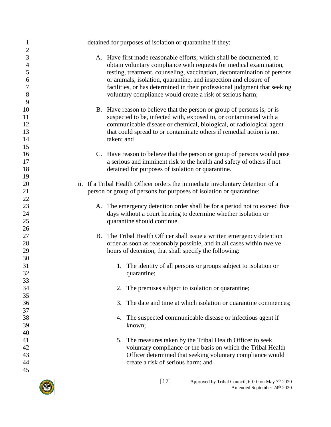| $\mathbf{1}$<br>$\overline{2}$               | detained for purposes of isolation or quarantine if they:                                                                                                                                                                                                                                                                                                                                                                           |
|----------------------------------------------|-------------------------------------------------------------------------------------------------------------------------------------------------------------------------------------------------------------------------------------------------------------------------------------------------------------------------------------------------------------------------------------------------------------------------------------|
| 3<br>$\overline{4}$<br>5<br>6<br>7<br>8<br>9 | A. Have first made reasonable efforts, which shall be documented, to<br>obtain voluntary compliance with requests for medical examination,<br>testing, treatment, counseling, vaccination, decontamination of persons<br>or animals, isolation, quarantine, and inspection and closure of<br>facilities, or has determined in their professional judgment that seeking<br>voluntary compliance would create a risk of serious harm; |
| 10<br>11<br>12<br>13<br>14<br>15             | B. Have reason to believe that the person or group of persons is, or is<br>suspected to be, infected with, exposed to, or contaminated with a<br>communicable disease or chemical, biological, or radiological agent<br>that could spread to or contaminate others if remedial action is not<br>taken; and                                                                                                                          |
| 16<br>17<br>18<br>19                         | C. Have reason to believe that the person or group of persons would pose<br>a serious and imminent risk to the health and safety of others if not<br>detained for purposes of isolation or quarantine.                                                                                                                                                                                                                              |
| 20<br>21<br>22                               | ii. If a Tribal Health Officer orders the immediate involuntary detention of a<br>person or group of persons for purposes of isolation or quarantine:                                                                                                                                                                                                                                                                               |
| 23<br>24<br>25                               | A. The emergency detention order shall be for a period not to exceed five<br>days without a court hearing to determine whether isolation or<br>quarantine should continue.                                                                                                                                                                                                                                                          |
| 26<br>27<br>28<br>29                         | B. The Tribal Health Officer shall issue a written emergency detention<br>order as soon as reasonably possible, and in all cases within twelve<br>hours of detention, that shall specify the following:                                                                                                                                                                                                                             |
| 30<br>31<br>32<br>33                         | 1. The identity of all persons or groups subject to isolation or<br>quarantine;                                                                                                                                                                                                                                                                                                                                                     |
| 34<br>35                                     | The premises subject to isolation or quarantine;<br>2.                                                                                                                                                                                                                                                                                                                                                                              |
| 36<br>37<br>38                               | The date and time at which isolation or quarantine commences;<br>3.<br>The suspected communicable disease or infectious agent if<br>4.                                                                                                                                                                                                                                                                                              |
| 39<br>40                                     | known;                                                                                                                                                                                                                                                                                                                                                                                                                              |
| 41<br>42<br>43<br>44<br>45                   | The measures taken by the Tribal Health Officer to seek<br>5.<br>voluntary compliance or the basis on which the Tribal Health<br>Officer determined that seeking voluntary compliance would<br>create a risk of serious harm; and                                                                                                                                                                                                   |
|                                              | [17]<br>Approved by Tribal Council $6-0-0$ on May $7th$ 2020                                                                                                                                                                                                                                                                                                                                                                        |

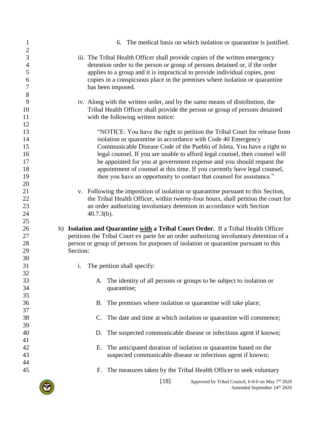| $\mathbf{1}$                                              | 6. The medical basis on which isolation or quarantine is justified.                                                                                                                                                                                                                                                                                                                                                                                                                                                               |
|-----------------------------------------------------------|-----------------------------------------------------------------------------------------------------------------------------------------------------------------------------------------------------------------------------------------------------------------------------------------------------------------------------------------------------------------------------------------------------------------------------------------------------------------------------------------------------------------------------------|
| $\overline{2}$<br>3<br>$\overline{4}$<br>5<br>6<br>7<br>8 | iii. The Tribal Health Officer shall provide copies of the written emergency<br>detention order to the person or group of persons detained or, if the order<br>applies to a group and it is impractical to provide individual copies, post<br>copies in a conspicuous place in the premises where isolation or quarantine<br>has been imposed.                                                                                                                                                                                    |
| 9<br>10<br>11                                             | iv. Along with the written order, and by the same means of distribution, the<br>Tribal Health Officer shall provide the person or group of persons detained<br>with the following written notice:                                                                                                                                                                                                                                                                                                                                 |
| 12<br>13<br>14<br>15<br>16<br>17<br>18<br>19              | "NOTICE: You have the right to petition the Tribal Court for release from<br>isolation or quarantine in accordance with Code 40 Emergency<br>Communicable Disease Code of the Pueblo of Isleta. You have a right to<br>legal counsel. If you are unable to afford legal counsel, then counsel will<br>be appointed for you at government expense and you should request the<br>appointment of counsel at this time. If you currently have legal counsel,<br>then you have an opportunity to contact that counsel for assistance." |
| 20<br>21<br>22<br>23<br>24                                | v. Following the imposition of isolation or quarantine pursuant to this Section,<br>the Tribal Health Officer, within twenty-four hours, shall petition the court for<br>an order authorizing involuntary detention in accordance with Section<br>$40.7.3(b)$ .                                                                                                                                                                                                                                                                   |
| 25<br>26<br>27<br>28<br>29                                | b) Isolation and Quarantine with a Tribal Court Order. If a Tribal Health Officer<br>petitions the Tribal Court ex parte for an order authorizing involuntary detention of a<br>person or group of persons for purposes of isolation or quarantine pursuant to this<br>Section:                                                                                                                                                                                                                                                   |
| 30<br>31                                                  | The petition shall specify:<br>i.                                                                                                                                                                                                                                                                                                                                                                                                                                                                                                 |
| 32<br>33<br>34                                            | The identity of all persons or groups to be subject to isolation or<br>quarantine;                                                                                                                                                                                                                                                                                                                                                                                                                                                |
| 35<br>36                                                  | The premises where isolation or quarantine will take place;<br>B.                                                                                                                                                                                                                                                                                                                                                                                                                                                                 |
| 37<br>38                                                  | The date and time at which isolation or quarantine will commence;                                                                                                                                                                                                                                                                                                                                                                                                                                                                 |
| 39<br>40                                                  | The suspected communicable disease or infectious agent if known;<br>D.                                                                                                                                                                                                                                                                                                                                                                                                                                                            |
| 41<br>42<br>43                                            | The anticipated duration of isolation or quarantine based on the<br>Е.<br>suspected communicable disease or infectious agent if known;                                                                                                                                                                                                                                                                                                                                                                                            |
| 44<br>45                                                  | The measures taken by the Tribal Health Officer to seek voluntary<br>Е.                                                                                                                                                                                                                                                                                                                                                                                                                                                           |
|                                                           | $[18]$<br>Approved by Tribal Council, 6-0-0 on May 7 <sup>th</sup> 2020<br>Amended September 24th 2020                                                                                                                                                                                                                                                                                                                                                                                                                            |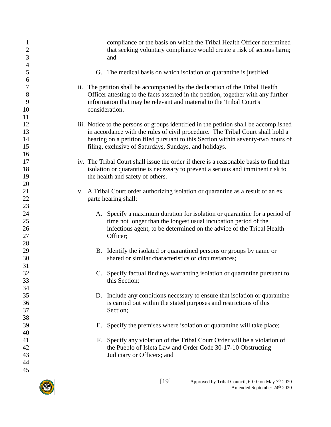| $\mathbf{1}$<br>$\mathbf{2}$<br>3               | compliance or the basis on which the Tribal Health Officer determined<br>that seeking voluntary compliance would create a risk of serious harm;<br>and                                                                                                                                                                |
|-------------------------------------------------|-----------------------------------------------------------------------------------------------------------------------------------------------------------------------------------------------------------------------------------------------------------------------------------------------------------------------|
| $\overline{4}$<br>5                             | G. The medical basis on which isolation or quarantine is justified.                                                                                                                                                                                                                                                   |
| 6<br>$\boldsymbol{7}$<br>$8\,$<br>9<br>10<br>11 | ii. The petition shall be accompanied by the declaration of the Tribal Health<br>Officer attesting to the facts asserted in the petition, together with any further<br>information that may be relevant and material to the Tribal Court's<br>consideration.                                                          |
| 12<br>13<br>14<br>15<br>16                      | iii. Notice to the persons or groups identified in the petition shall be accomplished<br>in accordance with the rules of civil procedure. The Tribal Court shall hold a<br>hearing on a petition filed pursuant to this Section within seventy-two hours of<br>filing, exclusive of Saturdays, Sundays, and holidays. |
| 17<br>18<br>19<br>20                            | iv. The Tribal Court shall issue the order if there is a reasonable basis to find that<br>isolation or quarantine is necessary to prevent a serious and imminent risk to<br>the health and safety of others.                                                                                                          |
| 21<br>22<br>23                                  | v. A Tribal Court order authorizing isolation or quarantine as a result of an ex<br>parte hearing shall:                                                                                                                                                                                                              |
| 24<br>25<br>26<br>27<br>28                      | A. Specify a maximum duration for isolation or quarantine for a period of<br>time not longer than the longest usual incubation period of the<br>infectious agent, to be determined on the advice of the Tribal Health<br>Officer;                                                                                     |
| 29<br>30<br>31                                  | B. Identify the isolated or quarantined persons or groups by name or<br>shared or similar characteristics or circumstances;                                                                                                                                                                                           |
| 32<br>33<br>34                                  | C. Specify factual findings warranting isolation or quarantine pursuant to<br>this Section;                                                                                                                                                                                                                           |
| 35<br>36<br>37<br>38                            | D. Include any conditions necessary to ensure that isolation or quarantine<br>is carried out within the stated purposes and restrictions of this<br>Section;                                                                                                                                                          |
| 39<br>40                                        | Specify the premises where isolation or quarantine will take place;<br>Е.                                                                                                                                                                                                                                             |
| 41<br>42<br>43<br>44<br>45                      | Specify any violation of the Tribal Court Order will be a violation of<br>F.<br>the Pueblo of Isleta Law and Order Code 30-17-10 Obstructing<br>Judiciary or Officers; and                                                                                                                                            |
|                                                 |                                                                                                                                                                                                                                                                                                                       |

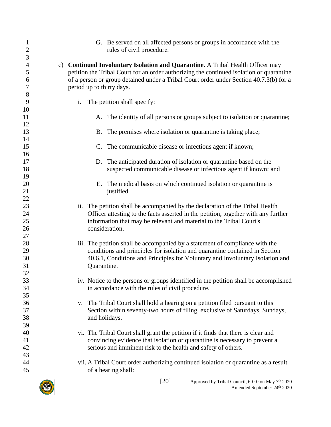| $\mathbf{1}$                     | G. Be served on all affected persons or groups in accordance with the                                                                                                                                                            |
|----------------------------------|----------------------------------------------------------------------------------------------------------------------------------------------------------------------------------------------------------------------------------|
| $\overline{c}$                   | rules of civil procedure.                                                                                                                                                                                                        |
| $\mathfrak{Z}$<br>$\overline{4}$ | c) Continued Involuntary Isolation and Quarantine. A Tribal Health Officer may                                                                                                                                                   |
| 5                                | petition the Tribal Court for an order authorizing the continued isolation or quarantine                                                                                                                                         |
| 6                                | of a person or group detained under a Tribal Court order under Section 40.7.3(b) for a                                                                                                                                           |
| 7                                | period up to thirty days.                                                                                                                                                                                                        |
| 8                                | The petition shall specify:                                                                                                                                                                                                      |
| 9                                | i.                                                                                                                                                                                                                               |
| 10<br>11<br>12                   | A. The identity of all persons or groups subject to isolation or quarantine;                                                                                                                                                     |
| 13                               | The premises where isolation or quarantine is taking place;                                                                                                                                                                      |
| 14                               | <b>B.</b>                                                                                                                                                                                                                        |
| 15                               | The communicable disease or infectious agent if known;                                                                                                                                                                           |
| 16                               | $C_{\cdot}$                                                                                                                                                                                                                      |
| 17                               | D. The anticipated duration of isolation or quarantine based on the                                                                                                                                                              |
| 18                               | suspected communicable disease or infectious agent if known; and                                                                                                                                                                 |
| 19<br>20<br>21                   | E. The medical basis on which continued isolation or quarantine is<br>justified.                                                                                                                                                 |
| 22                               | The petition shall be accompanied by the declaration of the Tribal Health                                                                                                                                                        |
| 23                               | ii.                                                                                                                                                                                                                              |
| 24                               | Officer attesting to the facts asserted in the petition, together with any further                                                                                                                                               |
| 25                               | information that may be relevant and material to the Tribal Court's                                                                                                                                                              |
| 26                               | consideration.                                                                                                                                                                                                                   |
| 27<br>28<br>29                   | iii. The petition shall be accompanied by a statement of compliance with the<br>conditions and principles for isolation and quarantine contained in Section                                                                      |
| 30                               | 40.6.1, Conditions and Principles for Voluntary and Involuntary Isolation and                                                                                                                                                    |
| 31                               | Quarantine.                                                                                                                                                                                                                      |
| 32<br>33<br>34<br>35             | iv. Notice to the persons or groups identified in the petition shall be accomplished<br>in accordance with the rules of civil procedure.                                                                                         |
| 36                               | v. The Tribal Court shall hold a hearing on a petition filed pursuant to this                                                                                                                                                    |
| 37                               | Section within seventy-two hours of filing, exclusive of Saturdays, Sundays,                                                                                                                                                     |
| 38                               | and holidays.                                                                                                                                                                                                                    |
| 39<br>40<br>41<br>42<br>43       | vi. The Tribal Court shall grant the petition if it finds that there is clear and<br>convincing evidence that isolation or quarantine is necessary to prevent a<br>serious and imminent risk to the health and safety of others. |
| 44                               | vii. A Tribal Court order authorizing continued isolation or quarantine as a result                                                                                                                                              |
| 45                               | of a hearing shall:                                                                                                                                                                                                              |

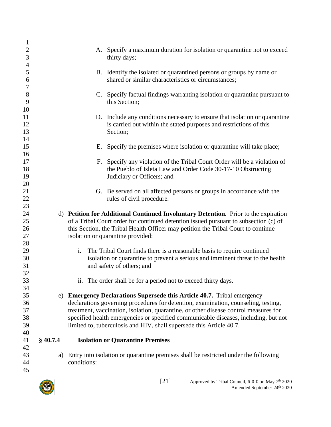| $\mathbf{1}$                     |            |                                                                                                                                                  |
|----------------------------------|------------|--------------------------------------------------------------------------------------------------------------------------------------------------|
| $\overline{2}$<br>$\mathfrak{Z}$ |            | A. Specify a maximum duration for isolation or quarantine not to exceed<br>thirty days;                                                          |
| $\overline{4}$                   |            |                                                                                                                                                  |
| 5<br>6                           |            | B. Identify the isolated or quarantined persons or groups by name or<br>shared or similar characteristics or circumstances;                      |
| $\boldsymbol{7}$<br>8<br>9       |            | C. Specify factual findings warranting isolation or quarantine pursuant to<br>this Section;                                                      |
| 10                               |            |                                                                                                                                                  |
| 11<br>12                         |            | D. Include any conditions necessary to ensure that isolation or quarantine<br>is carried out within the stated purposes and restrictions of this |
| 13                               |            | Section;                                                                                                                                         |
| 14<br>15                         |            | E. Specify the premises where isolation or quarantine will take place;                                                                           |
| 16                               |            |                                                                                                                                                  |
| 17                               |            | F. Specify any violation of the Tribal Court Order will be a violation of                                                                        |
| 18                               |            | the Pueblo of Isleta Law and Order Code 30-17-10 Obstructing                                                                                     |
| 19                               |            | Judiciary or Officers; and                                                                                                                       |
| 20                               |            |                                                                                                                                                  |
| 21                               |            | G. Be served on all affected persons or groups in accordance with the                                                                            |
| 22<br>23                         |            | rules of civil procedure.                                                                                                                        |
| 24                               |            | d) Petition for Additional Continued Involuntary Detention. Prior to the expiration                                                              |
| 25                               |            | of a Tribal Court order for continued detention issued pursuant to subsection (c) of                                                             |
| 26                               |            | this Section, the Tribal Health Officer may petition the Tribal Court to continue                                                                |
| 27                               |            | isolation or quarantine provided:                                                                                                                |
| 28                               |            |                                                                                                                                                  |
| 29                               |            | i.<br>The Tribal Court finds there is a reasonable basis to require continued                                                                    |
| 30                               |            | isolation or quarantine to prevent a serious and imminent threat to the health                                                                   |
| 31                               |            | and safety of others; and                                                                                                                        |
| 32                               |            |                                                                                                                                                  |
| 33                               |            | ii. The order shall be for a period not to exceed thirty days.                                                                                   |
| 34                               |            |                                                                                                                                                  |
| 35                               |            | e) Emergency Declarations Supersede this Article 40.7. Tribal emergency                                                                          |
| 36                               |            | declarations governing procedures for detention, examination, counseling, testing,                                                               |
| 37                               |            | treatment, vaccination, isolation, quarantine, or other disease control measures for                                                             |
| 38                               |            | specified health emergencies or specified communicable diseases, including, but not                                                              |
| 39                               |            | limited to, tuberculosis and HIV, shall supersede this Article 40.7.                                                                             |
| 40                               |            |                                                                                                                                                  |
| 41<br>42                         | $§$ 40.7.4 | <b>Isolation or Quarantine Premises</b>                                                                                                          |
| 43                               | a)         | Entry into isolation or quarantine premises shall be restricted under the following                                                              |
| 44                               |            | conditions:                                                                                                                                      |
| 45                               |            |                                                                                                                                                  |
|                                  |            |                                                                                                                                                  |

<span id="page-20-0"></span>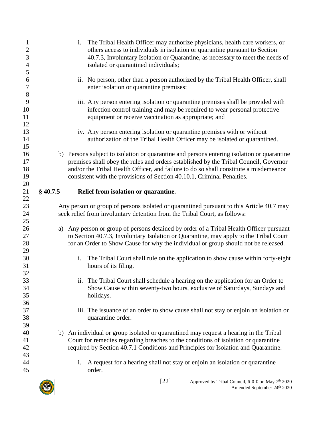<span id="page-21-0"></span>

| 1<br>$\boldsymbol{2}$<br>$\overline{3}$<br>$\overline{4}$<br>5 |            | The Tribal Health Officer may authorize physicians, health care workers, or<br>i.<br>others access to individuals in isolation or quarantine pursuant to Section<br>40.7.3, Involuntary Isolation or Quarantine, as necessary to meet the needs of<br>isolated or quarantined individuals;                                                            |
|----------------------------------------------------------------|------------|-------------------------------------------------------------------------------------------------------------------------------------------------------------------------------------------------------------------------------------------------------------------------------------------------------------------------------------------------------|
| 6<br>$\boldsymbol{7}$<br>$\,8$                                 |            | ii. No person, other than a person authorized by the Tribal Health Officer, shall<br>enter isolation or quarantine premises;                                                                                                                                                                                                                          |
| 9<br>10<br>11<br>12                                            |            | iii. Any person entering isolation or quarantine premises shall be provided with<br>infection control training and may be required to wear personal protective<br>equipment or receive vaccination as appropriate; and                                                                                                                                |
| 13<br>14<br>15                                                 |            | iv. Any person entering isolation or quarantine premises with or without<br>authorization of the Tribal Health Officer may be isolated or quarantined.                                                                                                                                                                                                |
| 16<br>17<br>18<br>19<br>20                                     |            | b) Persons subject to isolation or quarantine and persons entering isolation or quarantine<br>premises shall obey the rules and orders established by the Tribal Council, Governor<br>and/or the Tribal Health Officer, and failure to do so shall constitute a misdemeanor<br>consistent with the provisions of Section 40.10.1, Criminal Penalties. |
| 21                                                             | $§$ 40.7.5 | Relief from isolation or quarantine.                                                                                                                                                                                                                                                                                                                  |
| 22<br>23<br>24                                                 |            | Any person or group of persons isolated or quarantined pursuant to this Article 40.7 may<br>seek relief from involuntary detention from the Tribal Court, as follows:                                                                                                                                                                                 |
| 25<br>26<br>27<br>28<br>29                                     | a)         | Any person or group of persons detained by order of a Tribal Health Officer pursuant<br>to Section 40.7.3, Involuntary Isolation or Quarantine, may apply to the Tribal Court<br>for an Order to Show Cause for why the individual or group should not be released.                                                                                   |
| 30<br>31<br>32                                                 |            | The Tribal Court shall rule on the application to show cause within forty-eight<br>i.<br>hours of its filing.                                                                                                                                                                                                                                         |
| 33<br>34<br>35<br>36                                           |            | The Tribal Court shall schedule a hearing on the application for an Order to<br>11.<br>Show Cause within seventy-two hours, exclusive of Saturdays, Sundays and<br>holidays.                                                                                                                                                                          |
| 37<br>38<br>39                                                 |            | iii. The issuance of an order to show cause shall not stay or enjoin an isolation or<br>quarantine order.                                                                                                                                                                                                                                             |
| 40<br>41<br>42<br>43                                           |            | b) An individual or group isolated or quarantined may request a hearing in the Tribal<br>Court for remedies regarding breaches to the conditions of isolation or quarantine<br>required by Section 40.7.1 Conditions and Principles for Isolation and Quarantine.                                                                                     |
| 44<br>45                                                       |            | A request for a hearing shall not stay or enjoin an isolation or quarantine<br>i.<br>order.                                                                                                                                                                                                                                                           |

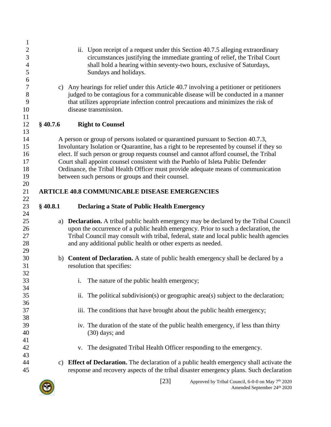<span id="page-22-2"></span><span id="page-22-1"></span><span id="page-22-0"></span>

| $\mathbf{1}$     |            |                                                                                            |
|------------------|------------|--------------------------------------------------------------------------------------------|
| $\overline{c}$   |            | ii. Upon receipt of a request under this Section 40.7.5 alleging extraordinary             |
| 3                |            | circumstances justifying the immediate granting of relief, the Tribal Court                |
| $\overline{4}$   |            | shall hold a hearing within seventy-two hours, exclusive of Saturdays,                     |
| 5                |            | Sundays and holidays.                                                                      |
| 6                |            |                                                                                            |
| $\boldsymbol{7}$ | c)         | Any hearings for relief under this Article 40.7 involving a petitioner or petitioners      |
| $8\,$            |            | judged to be contagious for a communicable disease will be conducted in a manner           |
| 9                |            | that utilizes appropriate infection control precautions and minimizes the risk of          |
| 10               |            | disease transmission.                                                                      |
| 11               |            |                                                                                            |
| 12               | $§$ 40.7.6 | <b>Right to Counsel</b>                                                                    |
| 13               |            |                                                                                            |
| 14               |            | A person or group of persons isolated or quarantined pursuant to Section 40.7.3,           |
| 15               |            | Involuntary Isolation or Quarantine, has a right to be represented by counsel if they so   |
| 16               |            | elect. If such person or group requests counsel and cannot afford counsel, the Tribal      |
| 17               |            | Court shall appoint counsel consistent with the Pueblo of Isleta Public Defender           |
| 18               |            | Ordinance, the Tribal Health Officer must provide adequate means of communication          |
| 19               |            | between such persons or groups and their counsel.                                          |
| 20               |            |                                                                                            |
| 21               |            | <b>ARTICLE 40.8 COMMUNICABLE DISEASE EMERGENCIES</b>                                       |
| 22               |            |                                                                                            |
| 23               | $§$ 40.8.1 | <b>Declaring a State of Public Health Emergency</b>                                        |
| 24               |            |                                                                                            |
| 25               | a)         | <b>Declaration.</b> A tribal public health emergency may be declared by the Tribal Council |
| 26               |            | upon the occurrence of a public health emergency. Prior to such a declaration, the         |
| 27               |            | Tribal Council may consult with tribal, federal, state and local public health agencies    |
| 28               |            | and any additional public health or other experts as needed.                               |
| 29               |            |                                                                                            |
| 30               |            | b) Content of Declaration. A state of public health emergency shall be declared by a       |
| 31               |            | resolution that specifies:                                                                 |
| 32               |            |                                                                                            |
| 33               |            | The nature of the public health emergency;                                                 |
| 34               |            |                                                                                            |
| 35               |            | The political subdivision(s) or geographic area(s) subject to the declaration;<br>ii.      |
| 36               |            |                                                                                            |
| 37               |            | iii. The conditions that have brought about the public health emergency;                   |
| 38               |            |                                                                                            |
| 39               |            | iv. The duration of the state of the public health emergency, if less than thirty          |
| 40               |            | $(30)$ days; and                                                                           |
| 41               |            |                                                                                            |
| 42               |            | The designated Tribal Health Officer responding to the emergency.<br>V.                    |
| 43<br>44         |            | Effect of Declaration. The declaration of a public health emergency shall activate the     |
| 45               | C)         |                                                                                            |
|                  |            | response and recovery aspects of the tribal disaster emergency plans. Such declaration     |

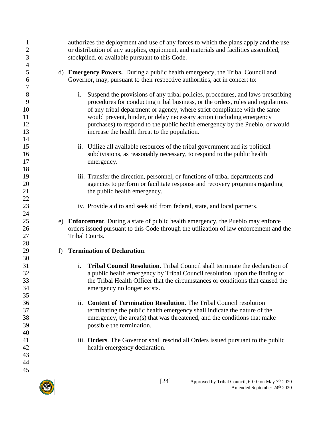| $\mathbf{1}$<br>$\overline{c}$ |   | authorizes the deployment and use of any forces to which the plans apply and the use<br>or distribution of any supplies, equipment, and materials and facilities assembled, |
|--------------------------------|---|-----------------------------------------------------------------------------------------------------------------------------------------------------------------------------|
| $\mathfrak{Z}$                 |   | stockpiled, or available pursuant to this Code.                                                                                                                             |
| 4<br>5                         |   | d) <b>Emergency Powers.</b> During a public health emergency, the Tribal Council and                                                                                        |
| 6<br>$\tau$                    |   | Governor, may, pursuant to their respective authorities, act in concert to:                                                                                                 |
| $8\,$                          |   | i.<br>Suspend the provisions of any tribal policies, procedures, and laws prescribing                                                                                       |
| 9                              |   | procedures for conducting tribal business, or the orders, rules and regulations                                                                                             |
| 10                             |   | of any tribal department or agency, where strict compliance with the same                                                                                                   |
| 11<br>12                       |   | would prevent, hinder, or delay necessary action (including emergency<br>purchases) to respond to the public health emergency by the Pueblo, or would                       |
| 13                             |   | increase the health threat to the population.                                                                                                                               |
| 14                             |   |                                                                                                                                                                             |
| 15                             |   | Utilize all available resources of the tribal government and its political<br>ii.                                                                                           |
| 16                             |   | subdivisions, as reasonably necessary, to respond to the public health                                                                                                      |
| 17<br>18                       |   | emergency.                                                                                                                                                                  |
| 19                             |   | iii. Transfer the direction, personnel, or functions of tribal departments and                                                                                              |
| 20                             |   | agencies to perform or facilitate response and recovery programs regarding                                                                                                  |
| 21                             |   | the public health emergency.                                                                                                                                                |
| 22                             |   |                                                                                                                                                                             |
| 23                             |   | iv. Provide aid to and seek aid from federal, state, and local partners.                                                                                                    |
| 24<br>25                       |   | e) Enforcement. During a state of public health emergency, the Pueblo may enforce                                                                                           |
| 26                             |   | orders issued pursuant to this Code through the utilization of law enforcement and the                                                                                      |
| 27                             |   | Tribal Courts.                                                                                                                                                              |
| 28                             |   |                                                                                                                                                                             |
| 29                             | f | <b>Termination of Declaration.</b>                                                                                                                                          |
| 30<br>31                       |   | Tribal Council Resolution. Tribal Council shall terminate the declaration of<br>$\mathbf{i}$ .                                                                              |
| 32                             |   | a public health emergency by Tribal Council resolution, upon the finding of                                                                                                 |
| 33                             |   | the Tribal Health Officer that the circumstances or conditions that caused the                                                                                              |
| 34                             |   | emergency no longer exists.                                                                                                                                                 |
| 35                             |   |                                                                                                                                                                             |
| 36<br>37                       |   | <b>Content of Termination Resolution.</b> The Tribal Council resolution<br>ii.<br>terminating the public health emergency shall indicate the nature of the                  |
| 38                             |   | emergency, the area(s) that was threatened, and the conditions that make                                                                                                    |
| 39                             |   | possible the termination.                                                                                                                                                   |
| 40                             |   |                                                                                                                                                                             |
| 41                             |   | iii. Orders. The Governor shall rescind all Orders issued pursuant to the public                                                                                            |
| 42<br>43                       |   | health emergency declaration.                                                                                                                                               |
| 44                             |   |                                                                                                                                                                             |
| 45                             |   |                                                                                                                                                                             |
|                                |   |                                                                                                                                                                             |

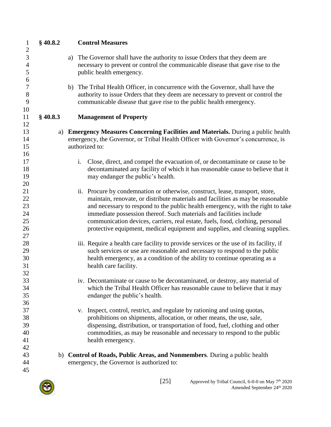<span id="page-24-1"></span><span id="page-24-0"></span>

| $\mathbf{1}$          | $§$ 40.8.2 | <b>Control Measures</b>                                                                                                                                            |
|-----------------------|------------|--------------------------------------------------------------------------------------------------------------------------------------------------------------------|
| $\mathbf{2}$          |            |                                                                                                                                                                    |
| 3                     |            | a) The Governor shall have the authority to issue Orders that they deem are                                                                                        |
| $\overline{4}$        |            | necessary to prevent or control the communicable disease that gave rise to the                                                                                     |
| 5                     |            | public health emergency.                                                                                                                                           |
| 6<br>$\boldsymbol{7}$ |            |                                                                                                                                                                    |
| 8                     |            | b) The Tribal Health Officer, in concurrence with the Governor, shall have the<br>authority to issue Orders that they deem are necessary to prevent or control the |
| 9                     |            | communicable disease that gave rise to the public health emergency.                                                                                                |
| 10                    |            |                                                                                                                                                                    |
| 11                    | $§$ 40.8.3 | <b>Management of Property</b>                                                                                                                                      |
| 12                    |            |                                                                                                                                                                    |
| 13                    |            | a) Emergency Measures Concerning Facilities and Materials. During a public health                                                                                  |
| 14                    |            | emergency, the Governor, or Tribal Health Officer with Governor's concurrence, is                                                                                  |
| 15                    |            | authorized to:                                                                                                                                                     |
| 16                    |            |                                                                                                                                                                    |
| 17                    |            | i.<br>Close, direct, and compel the evacuation of, or decontaminate or cause to be                                                                                 |
| 18                    |            | decontaminated any facility of which it has reasonable cause to believe that it                                                                                    |
| 19                    |            | may endanger the public's health.                                                                                                                                  |
| 20                    |            |                                                                                                                                                                    |
| 21                    |            | ii. Procure by condemnation or otherwise, construct, lease, transport, store,                                                                                      |
| 22                    |            | maintain, renovate, or distribute materials and facilities as may be reasonable                                                                                    |
| 23<br>24              |            | and necessary to respond to the public health emergency, with the right to take<br>immediate possession thereof. Such materials and facilities include             |
| 25                    |            | communication devices, carriers, real estate, fuels, food, clothing, personal                                                                                      |
| 26                    |            | protective equipment, medical equipment and supplies, and cleaning supplies.                                                                                       |
| 27                    |            |                                                                                                                                                                    |
| 28                    |            | iii. Require a health care facility to provide services or the use of its facility, if                                                                             |
| 29                    |            | such services or use are reasonable and necessary to respond to the public                                                                                         |
| 30                    |            | health emergency, as a condition of the ability to continue operating as a                                                                                         |
| 31                    |            | health care facility.                                                                                                                                              |
| 32                    |            |                                                                                                                                                                    |
| 33                    |            | iv. Decontaminate or cause to be decontaminated, or destroy, any material of                                                                                       |
| 34                    |            | which the Tribal Health Officer has reasonable cause to believe that it may                                                                                        |
| 35                    |            | endanger the public's health.                                                                                                                                      |
| 36                    |            |                                                                                                                                                                    |
| 37                    |            | Inspect, control, restrict, and regulate by rationing and using quotas,<br>V.                                                                                      |
| 38                    |            | prohibitions on shipments, allocation, or other means, the use, sale,                                                                                              |
| 39                    |            | dispensing, distribution, or transportation of food, fuel, clothing and other                                                                                      |
| 40                    |            | commodities, as may be reasonable and necessary to respond to the public                                                                                           |
| 41                    |            | health emergency.                                                                                                                                                  |
| 42<br>43              |            | b) Control of Roads, Public Areas, and Nonmembers. During a public health                                                                                          |
| 44                    |            | emergency, the Governor is authorized to:                                                                                                                          |
| 45                    |            |                                                                                                                                                                    |
|                       |            |                                                                                                                                                                    |

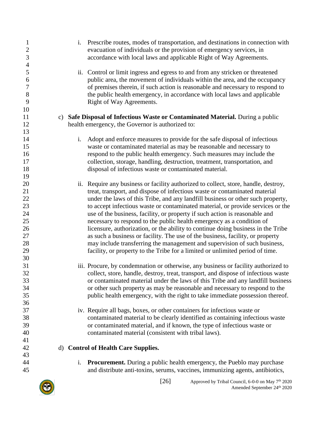| $\mathbf{1}$<br>$\mathbf{2}$<br>3<br>$\overline{4}$ | Prescribe routes, modes of transportation, and destinations in connection with<br>i.<br>evacuation of individuals or the provision of emergency services, in<br>accordance with local laws and applicable Right of Way Agreements.                                                                                                                         |  |
|-----------------------------------------------------|------------------------------------------------------------------------------------------------------------------------------------------------------------------------------------------------------------------------------------------------------------------------------------------------------------------------------------------------------------|--|
| 5<br>6<br>$\tau$<br>$8\,$<br>9                      | Control or limit ingress and egress to and from any stricken or threatened<br>ii.<br>public area, the movement of individuals within the area, and the occupancy<br>of premises therein, if such action is reasonable and necessary to respond to<br>the public health emergency, in accordance with local laws and applicable<br>Right of Way Agreements. |  |
| 10                                                  |                                                                                                                                                                                                                                                                                                                                                            |  |
| 11                                                  | c) Safe Disposal of Infectious Waste or Contaminated Material. During a public                                                                                                                                                                                                                                                                             |  |
| 12                                                  | health emergency, the Governor is authorized to:                                                                                                                                                                                                                                                                                                           |  |
| 13                                                  |                                                                                                                                                                                                                                                                                                                                                            |  |
| 14                                                  | $i$ .<br>Adopt and enforce measures to provide for the safe disposal of infectious                                                                                                                                                                                                                                                                         |  |
| 15                                                  | waste or contaminated material as may be reasonable and necessary to                                                                                                                                                                                                                                                                                       |  |
| 16<br>17                                            | respond to the public health emergency. Such measures may include the<br>collection, storage, handling, destruction, treatment, transportation, and                                                                                                                                                                                                        |  |
| 18                                                  | disposal of infectious waste or contaminated material.                                                                                                                                                                                                                                                                                                     |  |
| 19                                                  |                                                                                                                                                                                                                                                                                                                                                            |  |
| 20                                                  | ii. Require any business or facility authorized to collect, store, handle, destroy,                                                                                                                                                                                                                                                                        |  |
| 21                                                  | treat, transport, and dispose of infectious waste or contaminated material                                                                                                                                                                                                                                                                                 |  |
| 22                                                  | under the laws of this Tribe, and any landfill business or other such property,                                                                                                                                                                                                                                                                            |  |
| 23                                                  | to accept infectious waste or contaminated material, or provide services or the                                                                                                                                                                                                                                                                            |  |
| 24                                                  | use of the business, facility, or property if such action is reasonable and                                                                                                                                                                                                                                                                                |  |
| 25                                                  | necessary to respond to the public health emergency as a condition of                                                                                                                                                                                                                                                                                      |  |
| 26                                                  | licensure, authorization, or the ability to continue doing business in the Tribe                                                                                                                                                                                                                                                                           |  |
| 27                                                  | as such a business or facility. The use of the business, facility, or property                                                                                                                                                                                                                                                                             |  |
| 28                                                  | may include transferring the management and supervision of such business,                                                                                                                                                                                                                                                                                  |  |
| 29                                                  | facility, or property to the Tribe for a limited or unlimited period of time.                                                                                                                                                                                                                                                                              |  |
| 30                                                  |                                                                                                                                                                                                                                                                                                                                                            |  |
| 31                                                  | iii. Procure, by condemnation or otherwise, any business or facility authorized to                                                                                                                                                                                                                                                                         |  |
| 32                                                  | collect, store, handle, destroy, treat, transport, and dispose of infectious waste                                                                                                                                                                                                                                                                         |  |
| 33                                                  | or contaminated material under the laws of this Tribe and any landfill business                                                                                                                                                                                                                                                                            |  |
| 34                                                  | or other such property as may be reasonable and necessary to respond to the                                                                                                                                                                                                                                                                                |  |
| 35                                                  | public health emergency, with the right to take immediate possession thereof.                                                                                                                                                                                                                                                                              |  |
| 36<br>37                                            |                                                                                                                                                                                                                                                                                                                                                            |  |
| 38                                                  | iv. Require all bags, boxes, or other containers for infectious waste or<br>contaminated material to be clearly identified as containing infectious waste                                                                                                                                                                                                  |  |
| 39                                                  | or contaminated material, and if known, the type of infectious waste or                                                                                                                                                                                                                                                                                    |  |
| 40                                                  | contaminated material (consistent with tribal laws).                                                                                                                                                                                                                                                                                                       |  |
| 41                                                  |                                                                                                                                                                                                                                                                                                                                                            |  |
| 42                                                  | d) Control of Health Care Supplies.                                                                                                                                                                                                                                                                                                                        |  |
| 43                                                  |                                                                                                                                                                                                                                                                                                                                                            |  |
| 44                                                  | <b>Procurement.</b> During a public health emergency, the Pueblo may purchase<br>i.                                                                                                                                                                                                                                                                        |  |
| 45                                                  | and distribute anti-toxins, serums, vaccines, immunizing agents, antibiotics,                                                                                                                                                                                                                                                                              |  |

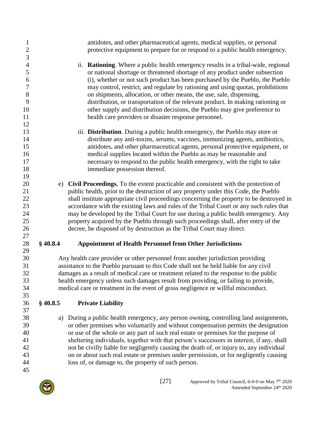| $\mathbf{1}$<br>$\mathbf{2}$ |            | antidotes, and other pharmaceutical agents, medical supplies, or personal<br>protective equipment to prepare for or respond to a public health emergency. |
|------------------------------|------------|-----------------------------------------------------------------------------------------------------------------------------------------------------------|
| 3                            |            |                                                                                                                                                           |
| $\overline{4}$               |            | <b>Rationing.</b> Where a public health emergency results in a tribal-wide, regional<br>ii.                                                               |
| 5                            |            | or national shortage or threatened shortage of any product under subsection                                                                               |
| 6                            |            | (i), whether or not such product has been purchased by the Pueblo, the Pueblo                                                                             |
| $\sqrt{ }$                   |            | may control, restrict, and regulate by rationing and using quotas, prohibitions                                                                           |
| $8\,$                        |            | on shipments, allocation, or other means, the use, sale, dispensing,                                                                                      |
| 9                            |            | distribution, or transportation of the relevant product. In making rationing or                                                                           |
| 10                           |            | other supply and distribution decisions, the Pueblo may give preference to                                                                                |
| 11                           |            | health care providers or disaster response personnel.                                                                                                     |
| 12                           |            |                                                                                                                                                           |
| 13                           |            | iii. Distribution. During a public health emergency, the Pueblo may store or                                                                              |
| 14                           |            | distribute any anti-toxins, serums, vaccines, immunizing agents, antibiotics,                                                                             |
| 15                           |            | antidotes, and other pharmaceutical agents, personal protective equipment, or                                                                             |
| 16                           |            | medical supplies located within the Pueblo as may be reasonable and                                                                                       |
| 17                           |            | necessary to respond to the public health emergency, with the right to take                                                                               |
| 18                           |            | immediate possession thereof.                                                                                                                             |
| 19                           |            |                                                                                                                                                           |
| 20                           |            | e) Civil Proceedings. To the extent practicable and consistent with the protection of                                                                     |
| 21                           |            | public health, prior to the destruction of any property under this Code, the Pueblo                                                                       |
| 22                           |            | shall institute appropriate civil proceedings concerning the property to be destroyed in                                                                  |
| 23                           |            | accordance with the existing laws and rules of the Tribal Court or any such rules that                                                                    |
| 24                           |            | may be developed by the Tribal Court for use during a public health emergency. Any                                                                        |
| 25                           |            | property acquired by the Pueblo through such proceedings shall, after entry of the                                                                        |
| 26                           |            | decree, be disposed of by destruction as the Tribal Court may direct.                                                                                     |
| 27                           |            |                                                                                                                                                           |
| 28                           | \$40.8.4   | <b>Appointment of Health Personnel from Other Jurisdictions</b>                                                                                           |
| 29                           |            |                                                                                                                                                           |
| 30                           |            | Any health care provider or other personnel from another jurisdiction providing                                                                           |
| 31                           |            | assistance to the Pueblo pursuant to this Code shall not be held liable for any civil                                                                     |
| 32                           |            | damages as a result of medical care or treatment related to the response to the public                                                                    |
| 33                           |            | health emergency unless such damages result from providing, or failing to provide,                                                                        |
| 34                           |            | medical care or treatment in the event of gross negligence or willful misconduct.                                                                         |
| 35                           |            |                                                                                                                                                           |
| 36                           | $§$ 40.8.5 | <b>Private Liability</b>                                                                                                                                  |
| 37                           |            | During a public health emergency, any person owning, controlling land assignments,                                                                        |
| 38<br>39                     | a)         | or other premises who voluntarily and without compensation permits the designation                                                                        |
| 40                           |            | or use of the whole or any part of such real estate or premises for the purpose of                                                                        |
| 41                           |            | sheltering individuals, together with that person's successors in interest, if any, shall                                                                 |
| 42                           |            | not be civilly liable for negligently causing the death of, or injury to, any individual                                                                  |
| 43                           |            | on or about such real estate or premises under permission, or for negligently causing                                                                     |
| 44                           |            | loss of, or damage to, the property of such person.                                                                                                       |
|                              |            |                                                                                                                                                           |

- <span id="page-26-1"></span><span id="page-26-0"></span> $\frac{44}{45}$
- 

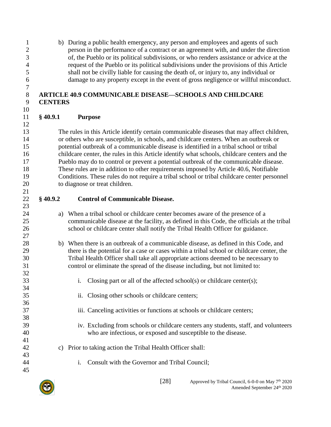- of, the Pueblo or its political subdivisions, or who renders assistance or advice at the request of the Pueblo or its political subdivisions under the provisions of this Article
- shall not be civilly liable for causing the death of, or injury to, any individual or
- damage to any property except in the event of gross negligence or willful misconduct.

#### <span id="page-27-0"></span> **ARTICLE 40.9 COMMUNICABLE DISEASE—SCHOOLS AND CHILDCARE CENTERS**

 b) During a public health emergency, any person and employees and agents of such person in the performance of a contract or an agreement with, and under the direction

<span id="page-27-1"></span> **§ 40.9.1 Purpose** 

 The rules in this Article identify certain communicable diseases that may affect children, or others who are susceptible, in schools, and childcare centers. When an outbreak or potential outbreak of a communicable disease is identified in a tribal school or tribal childcare center, the rules in this Article identify what schools, childcare centers and the Pueblo may do to control or prevent a potential outbreak of the communicable disease. These rules are in addition to other requirements imposed by Article 40.6, Notifiable Conditions. These rules do not require a tribal school or tribal childcare center personnel to diagnose or treat children.

### <span id="page-27-2"></span>**§ 40.9.2 Control of Communicable Disease.**

- a) When a tribal school or childcare center becomes aware of the presence of a communicable disease at the facility, as defined in this Code, the officials at the tribal school or childcare center shall notify the Tribal Health Officer for guidance.
- b) When there is an outbreak of a communicable disease, as defined in this Code, and there is the potential for a case or cases within a tribal school or childcare center, the Tribal Health Officer shall take all appropriate actions deemed to be necessary to control or eliminate the spread of the disease including, but not limited to:
- i. Closing part or all of the affected school(s) or childcare center(s);
- ii. Closing other schools or childcare centers;
- iii. Canceling activities or functions at schools or childcare centers;
- iv. Excluding from schools or childcare centers any students, staff, and volunteers who are infectious, or exposed and susceptible to the disease.
- c) Prior to taking action the Tribal Health Officer shall:
- i. Consult with the Governor and Tribal Council;



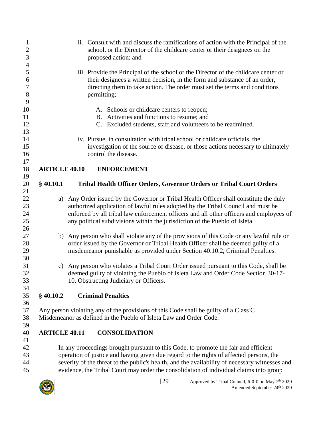<span id="page-28-1"></span><span id="page-28-0"></span>

| $\mathbf{1}$<br>$\mathbf{2}$<br>3 |                      | ii. Consult with and discuss the ramifications of action with the Principal of the<br>school, or the Director of the childcare center or their designees on the<br>proposed action; and |
|-----------------------------------|----------------------|-----------------------------------------------------------------------------------------------------------------------------------------------------------------------------------------|
| $\overline{4}$                    |                      |                                                                                                                                                                                         |
| 5                                 |                      | iii. Provide the Principal of the school or the Director of the childcare center or                                                                                                     |
| 6<br>$\boldsymbol{7}$             |                      | their designees a written decision, in the form and substance of an order,<br>directing them to take action. The order must set the terms and conditions                                |
| $8\,$<br>9                        |                      | permitting;                                                                                                                                                                             |
| 10                                |                      | A. Schools or childcare centers to reopen;                                                                                                                                              |
| 11                                |                      | B. Activities and functions to resume; and                                                                                                                                              |
| 12                                |                      | C. Excluded students, staff and volunteers to be readmitted.                                                                                                                            |
| 13                                |                      |                                                                                                                                                                                         |
| 14                                |                      | iv. Pursue, in consultation with tribal school or childcare officials, the                                                                                                              |
| 15                                |                      | investigation of the source of disease, or those actions necessary to ultimately                                                                                                        |
| 16                                |                      | control the disease.                                                                                                                                                                    |
| 17                                |                      |                                                                                                                                                                                         |
| 18<br>19                          | <b>ARTICLE 40.10</b> | <b>ENFORCEMENT</b>                                                                                                                                                                      |
| 20                                | $§$ 40.10.1          | Tribal Health Officer Orders, Governor Orders or Tribal Court Orders                                                                                                                    |
| 21                                |                      |                                                                                                                                                                                         |
| 22                                |                      | a) Any Order issued by the Governor or Tribal Health Officer shall constitute the duly                                                                                                  |
| 23                                |                      | authorized application of lawful rules adopted by the Tribal Council and must be                                                                                                        |
| 24                                |                      | enforced by all tribal law enforcement officers and all other officers and employees of                                                                                                 |
| 25                                |                      | any political subdivisions within the jurisdiction of the Pueblo of Isleta.                                                                                                             |
| 26                                |                      |                                                                                                                                                                                         |
| 27                                |                      | b) Any person who shall violate any of the provisions of this Code or any lawful rule or                                                                                                |
| 28                                |                      | order issued by the Governor or Tribal Health Officer shall be deemed guilty of a                                                                                                       |
| 29                                |                      | misdemeanor punishable as provided under Section 40.10.2, Criminal Penalties.                                                                                                           |
| 30                                |                      |                                                                                                                                                                                         |
| 31                                | C)                   | Any person who violates a Tribal Court Order issued pursuant to this Code, shall be                                                                                                     |
| 32                                |                      | deemed guilty of violating the Pueblo of Isleta Law and Order Code Section 30-17-                                                                                                       |
| 33                                |                      | 10, Obstructing Judiciary or Officers.                                                                                                                                                  |
| 34                                |                      |                                                                                                                                                                                         |
| 35                                | $§$ 40.10.2          | <b>Criminal Penalties</b>                                                                                                                                                               |
| 36                                |                      |                                                                                                                                                                                         |
| 37                                |                      | Any person violating any of the provisions of this Code shall be guilty of a Class C                                                                                                    |
| 38                                |                      | Misdemeanor as defined in the Pueblo of Isleta Law and Order Code.                                                                                                                      |
| 39                                |                      |                                                                                                                                                                                         |
| 40                                | <b>ARTICLE 40.11</b> | <b>CONSOLIDATION</b>                                                                                                                                                                    |
| 41                                |                      |                                                                                                                                                                                         |
|                                   |                      |                                                                                                                                                                                         |

<span id="page-28-3"></span><span id="page-28-2"></span> In any proceedings brought pursuant to this Code, to promote the fair and efficient operation of justice and having given due regard to the rights of affected persons, the severity of the threat to the public's health, and the availability of necessary witnesses and evidence, the Tribal Court may order the consolidation of individual claims into group

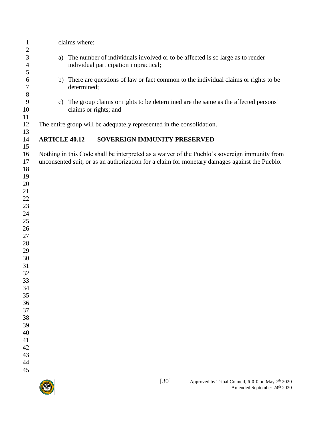<span id="page-29-0"></span>

| 1<br>$\boldsymbol{2}$                                                                                                                                                            |                      | claims where: |                                                                       |        |                                                                                                                                                                                                |
|----------------------------------------------------------------------------------------------------------------------------------------------------------------------------------|----------------------|---------------|-----------------------------------------------------------------------|--------|------------------------------------------------------------------------------------------------------------------------------------------------------------------------------------------------|
| 3<br>$\overline{4}$                                                                                                                                                              | a)                   |               | individual participation impractical;                                 |        | The number of individuals involved or to be affected is so large as to render                                                                                                                  |
| 5<br>6<br>$\boldsymbol{7}$                                                                                                                                                       |                      | determined;   |                                                                       |        | b) There are questions of law or fact common to the individual claims or rights to be                                                                                                          |
| $\,$ $\,$<br>9<br>10                                                                                                                                                             | $\mathbf{c})$        |               | claims or rights; and                                                 |        | The group claims or rights to be determined are the same as the affected persons'                                                                                                              |
| 11<br>12                                                                                                                                                                         |                      |               | The entire group will be adequately represented in the consolidation. |        |                                                                                                                                                                                                |
| 13<br>14<br>15                                                                                                                                                                   | <b>ARTICLE 40.12</b> |               | SOVEREIGN IMMUNITY PRESERVED                                          |        |                                                                                                                                                                                                |
| 16<br>17<br>18<br>19<br>20<br>21<br>22<br>23<br>24<br>25<br>26<br>27<br>28<br>29<br>30<br>31<br>32<br>33<br>34<br>35<br>36<br>37<br>38<br>39<br>40<br>41<br>42<br>43<br>44<br>45 |                      |               |                                                                       |        | Nothing in this Code shall be interpreted as a waiver of the Pueblo's sovereign immunity from<br>unconsented suit, or as an authorization for a claim for monetary damages against the Pueblo. |
|                                                                                                                                                                                  |                      |               |                                                                       | $[30]$ | Approved by Tribal Council, 6-0-0 on May 7 <sup>th</sup> 2020<br>Amended September 24th 2020                                                                                                   |